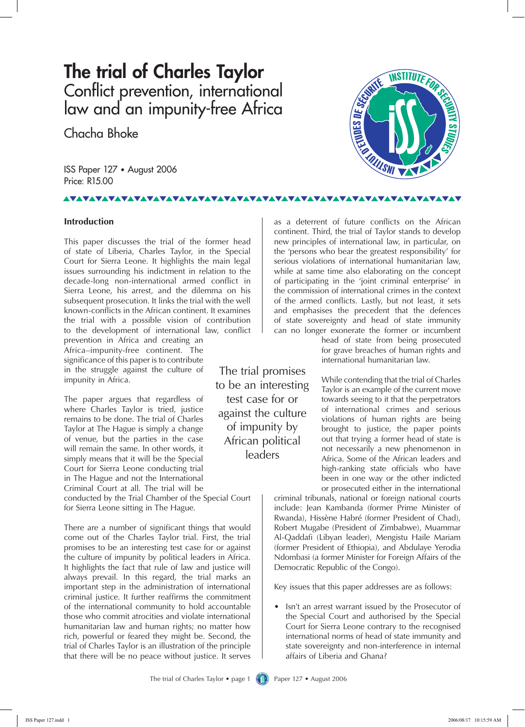# **The trial of Charles Taylor** Conflict prevention, international law and an impunity-free Africa

Chacha Bhoke

ISS Paper 127 • August 2006 Price: R15.00

## **AVAVAVA**

#### **Introduction**

This paper discusses the trial of the former head of state of Liberia, Charles Taylor, in the Special Court for Sierra Leone. It highlights the main legal issues surrounding his indictment in relation to the decade-long non-international armed conflict in Sierra Leone, his arrest, and the dilemma on his subsequent prosecution. It links the trial with the well known-conflicts in the African continent. It examines the trial with a possible vision of contribution to the development of international law, conflict

prevention in Africa and creating an Africa–impunity-free continent. The significance of this paper is to contribute in the struggle against the culture of impunity in Africa.

The paper argues that regardless of where Charles Taylor is tried, justice remains to be done. The trial of Charles Taylor at The Hague is simply a change of venue, but the parties in the case will remain the same. In other words, it simply means that it will be the Special Court for Sierra Leone conducting trial in The Hague and not the International Criminal Court at all. The trial will be

conducted by the Trial Chamber of the Special Court for Sierra Leone sitting in The Hague.

There are a number of significant things that would come out of the Charles Taylor trial. First, the trial promises to be an interesting test case for or against the culture of impunity by political leaders in Africa. It highlights the fact that rule of law and justice will always prevail. In this regard, the trial marks an important step in the administration of international criminal justice. It further reaffirms the commitment of the international community to hold accountable those who commit atrocities and violate international humanitarian law and human rights; no matter how rich, powerful or feared they might be. Second, the trial of Charles Taylor is an illustration of the principle that there will be no peace without justice. It serves

The trial promises to be an interesting test case for or against the culture of impunity by African political leaders

**INSTITUTE FOR** ENDES DE SES MUISIII

as a deterrent of future conflicts on the African continent. Third, the trial of Taylor stands to develop new principles of international law, in particular, on the 'persons who bear the greatest responsibility' for serious violations of international humanitarian law, while at same time also elaborating on the concept of participating in the 'joint criminal enterprise' in the commission of international crimes in the context of the armed conflicts. Lastly, but not least, it sets and emphasises the precedent that the defences of state sovereignty and head of state immunity can no longer exonerate the former or incumbent

> head of state from being prosecuted for grave breaches of human rights and international humanitarian law.

While contending that the trial of Charles Taylor is an example of the current move towards seeing to it that the perpetrators of international crimes and serious violations of human rights are being brought to justice, the paper points out that trying a former head of state is not necessarily a new phenomenon in Africa. Some of the African leaders and high-ranking state officials who have been in one way or the other indicted or prosecuted either in the international

criminal tribunals, national or foreign national courts include: Jean Kambanda (former Prime Minister of Rwanda), Hissène Habré (former President of Chad), Robert Mugabe (President of Zimbabwe), Muammar Al-Qaddafi (Libyan leader), Mengistu Haile Mariam (former President of Ethiopia), and Abdulaye Yerodia Ndombasi (a former Minister for Foreign Affairs of the Democratic Republic of the Congo).

Key issues that this paper addresses are as follows:

Isn't an arrest warrant issued by the Prosecutor of the Special Court and authorised by the Special Court for Sierra Leone contrary to the recognised international norms of head of state immunity and state sovereignty and non-interference in internal affairs of Liberia and Ghana? •

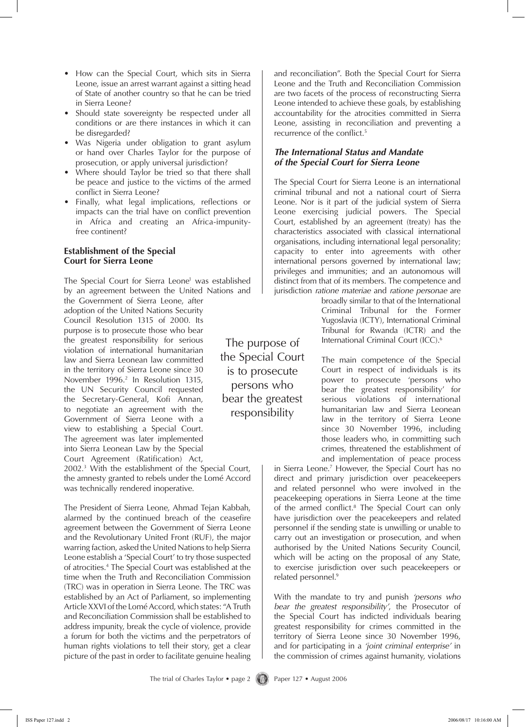- How can the Special Court, which sits in Sierra Leone, issue an arrest warrant against a sitting head of State of another country so that he can be tried in Sierra Leone?
- Should state sovereignty be respected under all conditions or are there instances in which it can be disregarded?
- Was Nigeria under obligation to grant asylum or hand over Charles Taylor for the purpose of prosecution, or apply universal jurisdiction? •
- Where should Taylor be tried so that there shall be peace and justice to the victims of the armed conflict in Sierra Leone? •
- Finally, what legal implications, reflections or impacts can the trial have on conflict prevention in Africa and creating an Africa-impunityfree continent?

### **Establishment of the Special Court for Sierra Leone**

The Special Court for Sierra Leone<sup>1</sup> was established by an agreement between the United Nations and

the Government of Sierra Leone, after adoption of the United Nations Security Council Resolution 1315 of 2000. Its purpose is to prosecute those who bear the greatest responsibility for serious violation of international humanitarian law and Sierra Leonean law committed in the territory of Sierra Leone since 30 November 1996.<sup>2</sup> In Resolution 1315, the UN Security Council requested the Secretary-General, Kofi Annan, to negotiate an agreement with the Government of Sierra Leone with a view to establishing a Special Court. The agreement was later implemented into Sierra Leonean Law by the Special Court Agreement (Ratification) Act,

2002.3 With the establishment of the Special Court, the amnesty granted to rebels under the Lomé Accord was technically rendered inoperative.

The President of Sierra Leone, Ahmad Tejan Kabbah, alarmed by the continued breach of the ceasefire agreement between the Government of Sierra Leone and the Revolutionary United Front (RUF), the major warring faction, asked the United Nations to help Sierra Leone establish a 'Special Court' to try those suspected of atrocities.4 The Special Court was established at the time when the Truth and Reconciliation Commission (TRC) was in operation in Sierra Leone. The TRC was established by an Act of Parliament, so implementing Article XXVI of the Lomé Accord, which states: "A Truth and Reconciliation Commission shall be established to address impunity, break the cycle of violence, provide a forum for both the victims and the perpetrators of human rights violations to tell their story, get a clear picture of the past in order to facilitate genuine healing

The purpose of the Special Court is to prosecute persons who bear the greatest responsibility

and reconciliation". Both the Special Court for Sierra Leone and the Truth and Reconciliation Commission are two facets of the process of reconstructing Sierra Leone intended to achieve these goals, by establishing accountability for the atrocities committed in Sierra Leone, assisting in reconciliation and preventing a recurrence of the conflict.<sup>5</sup>

## *The International Status and Mandate of the Special Court for Sierra Leone*

The Special Court for Sierra Leone is an international criminal tribunal and not a national court of Sierra Leone. Nor is it part of the judicial system of Sierra Leone exercising judicial powers. The Special Court, established by an agreement (treaty) has the characteristics associated with classical international organisations, including international legal personality; capacity to enter into agreements with other international persons governed by international law; privileges and immunities; and an autonomous will distinct from that of its members. The competence and jurisdiction *ratione materiae* and *ratione personae* are

> broadly similar to that of the International Criminal Tribunal for the Former Yugoslavia (ICTY), International Criminal Tribunal for Rwanda (ICTR) and the International Criminal Court (ICC).6

The main competence of the Special Court in respect of individuals is its power to prosecute 'persons who bear the greatest responsibility' for serious violations of international humanitarian law and Sierra Leonean law in the territory of Sierra Leone since 30 November 1996, including those leaders who, in committing such crimes, threatened the establishment of and implementation of peace process

in Sierra Leone.7 However, the Special Court has no direct and primary jurisdiction over peacekeepers and related personnel who were involved in the peacekeeping operations in Sierra Leone at the time of the armed conflict.<sup>8</sup> The Special Court can only have jurisdiction over the peacekeepers and related personnel if the sending state is unwilling or unable to carry out an investigation or prosecution, and when authorised by the United Nations Security Council, which will be acting on the proposal of any State, to exercise jurisdiction over such peacekeepers or related personnel.9

With the mandate to try and punish *'persons who bear the greatest responsibility'*, the Prosecutor of the Special Court has indicted individuals bearing greatest responsibility for crimes committed in the territory of Sierra Leone since 30 November 1996, and for participating in a *'joint criminal enterprise'* in the commission of crimes against humanity, violations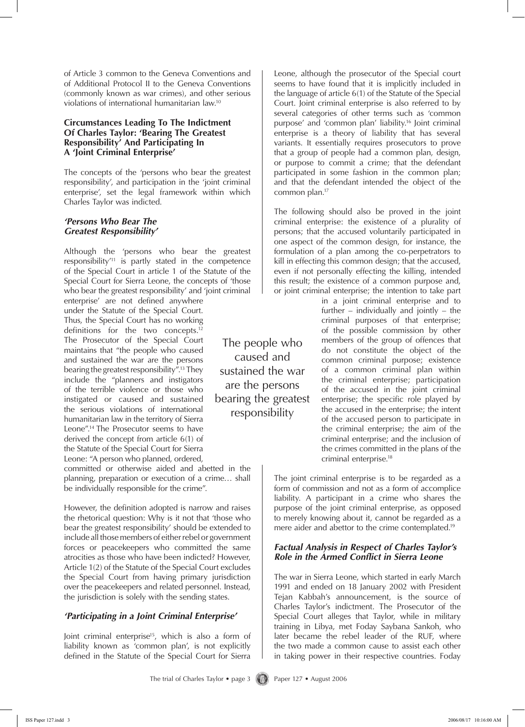of Article 3 common to the Geneva Conventions and of Additional Protocol II to the Geneva Conventions (commonly known as war crimes), and other serious violations of international humanitarian law.10

#### **Circumstances Leading To The Indictment Of Charles Taylor: 'Bearing The Greatest Responsibility' And Participating In A 'Joint Criminal Enterprise'**

The concepts of the 'persons who bear the greatest responsibility', and participation in the 'joint criminal enterprise', set the legal framework within which Charles Taylor was indicted.

#### *'Persons Who Bear The Greatest Responsibility'*

Although the 'persons who bear the greatest responsibility'11 is partly stated in the competence of the Special Court in article 1 of the Statute of the Special Court for Sierra Leone, the concepts of 'those who bear the greatest responsibility' and 'joint criminal

enterprise' are not defined anywhere under the Statute of the Special Court. Thus, the Special Court has no working definitions for the two concepts.12 The Prosecutor of the Special Court maintains that "the people who caused and sustained the war are the persons bearing the greatest responsibility".13 They include the "planners and instigators of the terrible violence or those who instigated or caused and sustained the serious violations of international humanitarian law in the territory of Sierra Leone".14 The Prosecutor seems to have derived the concept from article 6(1) of the Statute of the Special Court for Sierra Leone: "A person who planned, ordered,

committed or otherwise aided and abetted in the planning, preparation or execution of a crime… shall be individually responsible for the crime".

However, the definition adopted is narrow and raises the rhetorical question: Why is it not that 'those who bear the greatest responsibility' should be extended to include all those members of either rebel or government forces or peacekeepers who committed the same atrocities as those who have been indicted? However, Article 1(2) of the Statute of the Special Court excludes the Special Court from having primary jurisdiction over the peacekeepers and related personnel. Instead, the jurisdiction is solely with the sending states.

# *'Participating in a Joint Criminal Enterprise'*

Joint criminal enterprise<sup>15</sup>, which is also a form of liability known as 'common plan', is not explicitly defined in the Statute of the Special Court for Sierra

The people who caused and sustained the war are the persons bearing the greatest responsibility

Leone, although the prosecutor of the Special court seems to have found that it is implicitly included in the language of article 6(1) of the Statute of the Special Court. Joint criminal enterprise is also referred to by several categories of other terms such as 'common purpose' and 'common plan' liability.16 Joint criminal enterprise is a theory of liability that has several variants. It essentially requires prosecutors to prove that a group of people had a common plan, design, or purpose to commit a crime; that the defendant participated in some fashion in the common plan; and that the defendant intended the object of the common plan.17

The following should also be proved in the joint criminal enterprise: the existence of a plurality of persons; that the accused voluntarily participated in one aspect of the common design, for instance, the formulation of a plan among the co-perpetrators to kill in effecting this common design; that the accused, even if not personally effecting the killing, intended this result; the existence of a common purpose and, or joint criminal enterprise; the intention to take part

> in a joint criminal enterprise and to further – individually and jointly – the criminal purposes of that enterprise; of the possible commission by other members of the group of offences that do not constitute the object of the common criminal purpose; existence of a common criminal plan within the criminal enterprise; participation of the accused in the joint criminal enterprise; the specific role played by the accused in the enterprise; the intent of the accused person to participate in the criminal enterprise; the aim of the criminal enterprise; and the inclusion of the crimes committed in the plans of the criminal enterprise.18

The joint criminal enterprise is to be regarded as a form of commission and not as a form of accomplice liability. A participant in a crime who shares the purpose of the joint criminal enterprise, as opposed to merely knowing about it, cannot be regarded as a mere aider and abettor to the crime contemplated.<sup>19</sup>

## *Factual Analysis in Respect of Charles Taylor's Role in the Armed Conflict in Sierra Leone*

The war in Sierra Leone, which started in early March 1991 and ended on 18 January 2002 with President Tejan Kabbah's announcement, is the source of Charles Taylor's indictment. The Prosecutor of the Special Court alleges that Taylor, while in military training in Libya, met Foday Saybana Sankoh, who later became the rebel leader of the RUF, where the two made a common cause to assist each other in taking power in their respective countries. Foday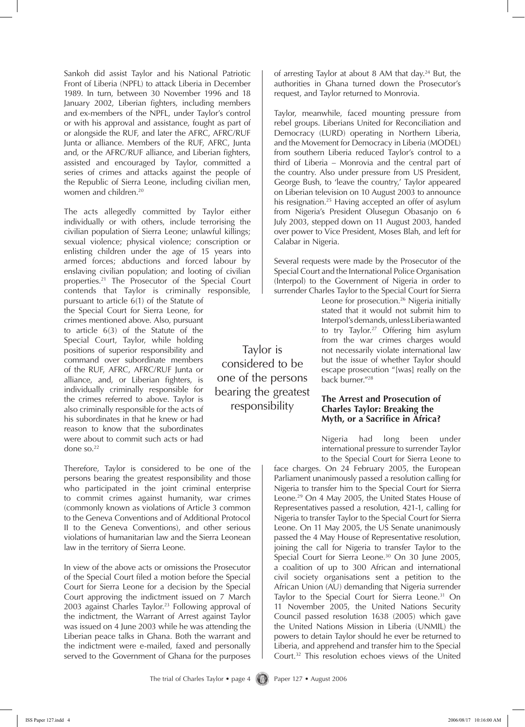Sankoh did assist Taylor and his National Patriotic Front of Liberia (NPFL) to attack Liberia in December 1989. In turn, between 30 November 1996 and 18 January 2002, Liberian fighters, including members and ex-members of the NPFL, under Taylor's control or with his approval and assistance, fought as part of or alongside the RUF, and later the AFRC, AFRC/RUF Junta or alliance. Members of the RUF, AFRC, Junta and, or the AFRC/RUF alliance, and Liberian fighters, assisted and encouraged by Taylor, committed a series of crimes and attacks against the people of the Republic of Sierra Leone, including civilian men, women and children.<sup>20</sup>

The acts allegedly committed by Taylor either individually or with others, include terrorising the civilian population of Sierra Leone; unlawful killings; sexual violence; physical violence; conscription or enlisting children under the age of 15 years into armed forces; abductions and forced labour by enslaving civilian population; and looting of civilian properties.21 The Prosecutor of the Special Court contends that Taylor is criminally responsible,

pursuant to article 6(1) of the Statute of the Special Court for Sierra Leone, for crimes mentioned above. Also, pursuant to article 6(3) of the Statute of the Special Court, Taylor, while holding positions of superior responsibility and command over subordinate members of the RUF, AFRC, AFRC/RUF Junta or alliance, and, or Liberian fighters, is individually criminally responsible for the crimes referred to above. Taylor is also criminally responsible for the acts of his subordinates in that he knew or had reason to know that the subordinates were about to commit such acts or had done so.22

Therefore, Taylor is considered to be one of the persons bearing the greatest responsibility and those who participated in the joint criminal enterprise to commit crimes against humanity, war crimes (commonly known as violations of Article 3 common to the Geneva Conventions and of Additional Protocol II to the Geneva Conventions), and other serious violations of humanitarian law and the Sierra Leonean law in the territory of Sierra Leone.

In view of the above acts or omissions the Prosecutor of the Special Court filed a motion before the Special Court for Sierra Leone for a decision by the Special Court approving the indictment issued on 7 March 2003 against Charles Taylor.<sup>23</sup> Following approval of the indictment, the Warrant of Arrest against Taylor was issued on 4 June 2003 while he was attending the Liberian peace talks in Ghana. Both the warrant and the indictment were e-mailed, faxed and personally served to the Government of Ghana for the purposes

of arresting Taylor at about 8 AM that day.<sup>24</sup> But, the authorities in Ghana turned down the Prosecutor's request, and Taylor returned to Monrovia.

Taylor, meanwhile, faced mounting pressure from rebel groups. Liberians United for Reconciliation and Democracy (LURD) operating in Northern Liberia, and the Movement for Democracy in Liberia (MODEL) from southern Liberia reduced Taylor's control to a third of Liberia – Monrovia and the central part of the country. Also under pressure from US President, George Bush, to 'leave the country,' Taylor appeared on Liberian television on 10 August 2003 to announce his resignation.<sup>25</sup> Having accepted an offer of asylum from Nigeria's President Olusegun Obasanjo on 6 July 2003, stepped down on 11 August 2003, handed over power to Vice President, Moses Blah, and left for Calabar in Nigeria.

Several requests were made by the Prosecutor of the Special Court and the International Police Organisation (Interpol) to the Government of Nigeria in order to surrender Charles Taylor to the Special Court for Sierra

> Leone for prosecution.26 Nigeria initially stated that it would not submit him to Interpol's demands, unless Liberia wanted to try Taylor.<sup>27</sup> Offering him asylum from the war crimes charges would not necessarily violate international law but the issue of whether Taylor should escape prosecution "[was] really on the back burner."28

#### **The Arrest and Prosecution of Charles Taylor: Breaking the Myth, or a Sacrifice in Africa?**

Nigeria had long been under international pressure to surrender Taylor to the Special Court for Sierra Leone to

face charges. On 24 February 2005, the European Parliament unanimously passed a resolution calling for Nigeria to transfer him to the Special Court for Sierra Leone.29 On 4 May 2005, the United States House of Representatives passed a resolution, 421-1, calling for Nigeria to transfer Taylor to the Special Court for Sierra Leone. On 11 May 2005, the US Senate unanimously passed the 4 May House of Representative resolution, joining the call for Nigeria to transfer Taylor to the Special Court for Sierra Leone. $30$  On 30 June 2005, a coalition of up to 300 African and international civil society organisations sent a petition to the African Union (AU) demanding that Nigeria surrender Taylor to the Special Court for Sierra Leone.<sup>31</sup> On 11 November 2005, the United Nations Security Council passed resolution 1638 (2005) which gave the United Nations Mission in Liberia (UNMIL) the powers to detain Taylor should he ever be returned to Liberia, and apprehend and transfer him to the Special Court.32 This resolution echoes views of the United

Taylor is considered to be one of the persons bearing the greatest responsibility

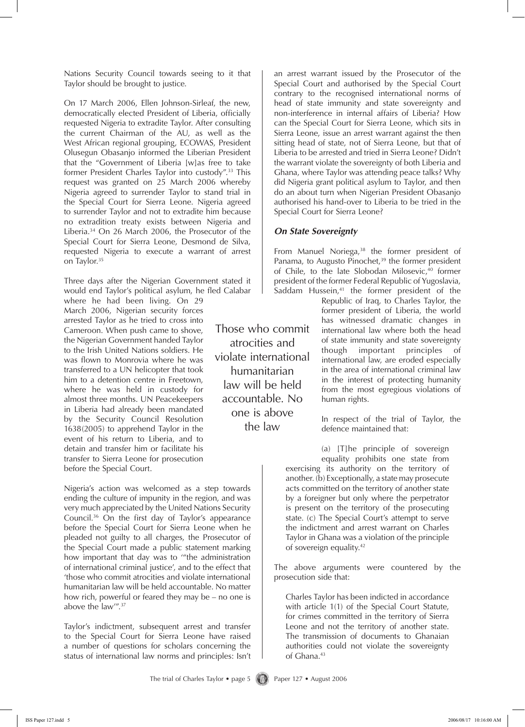Nations Security Council towards seeing to it that Taylor should be brought to justice.

On 17 March 2006, Ellen Johnson-Sirleaf, the new, democratically elected President of Liberia, officially requested Nigeria to extradite Taylor. After consulting the current Chairman of the AU, as well as the West African regional grouping, ECOWAS, President Olusegun Obasanjo informed the Liberian President that the "Government of Liberia [w]as free to take former President Charles Taylor into custody".33 This request was granted on 25 March 2006 whereby Nigeria agreed to surrender Taylor to stand trial in the Special Court for Sierra Leone. Nigeria agreed to surrender Taylor and not to extradite him because no extradition treaty exists between Nigeria and Liberia.34 On 26 March 2006, the Prosecutor of the Special Court for Sierra Leone, Desmond de Silva, requested Nigeria to execute a warrant of arrest on Taylor.<sup>35</sup>

Three days after the Nigerian Government stated it would end Taylor's political asylum, he fled Calabar

where he had been living. On 29 March 2006, Nigerian security forces arrested Taylor as he tried to cross into Cameroon. When push came to shove, the Nigerian Government handed Taylor to the Irish United Nations soldiers. He was flown to Monrovia where he was transferred to a UN helicopter that took him to a detention centre in Freetown, where he was held in custody for almost three months. UN Peacekeepers in Liberia had already been mandated by the Security Council Resolution 1638(2005) to apprehend Taylor in the event of his return to Liberia, and to detain and transfer him or facilitate his transfer to Sierra Leone for prosecution before the Special Court.

Nigeria's action was welcomed as a step towards ending the culture of impunity in the region, and was very much appreciated by the United Nations Security Council.36 On the first day of Taylor's appearance before the Special Court for Sierra Leone when he pleaded not guilty to all charges, the Prosecutor of the Special Court made a public statement marking how important that day was to '"the administration of international criminal justice', and to the effect that 'those who commit atrocities and violate international humanitarian law will be held accountable. No matter how rich, powerful or feared they may be – no one is above the law'".37

Taylor's indictment, subsequent arrest and transfer to the Special Court for Sierra Leone have raised a number of questions for scholars concerning the status of international law norms and principles: Isn't

Those who commit atrocities and violate international humanitarian law will be held accountable. No one is above the law

an arrest warrant issued by the Prosecutor of the Special Court and authorised by the Special Court contrary to the recognised international norms of head of state immunity and state sovereignty and non-interference in internal affairs of Liberia? How can the Special Court for Sierra Leone, which sits in Sierra Leone, issue an arrest warrant against the then sitting head of state, not of Sierra Leone, but that of Liberia to be arrested and tried in Sierra Leone? Didn't the warrant violate the sovereignty of both Liberia and Ghana, where Taylor was attending peace talks? Why did Nigeria grant political asylum to Taylor, and then do an about turn when Nigerian President Obasanjo authorised his hand-over to Liberia to be tried in the Special Court for Sierra Leone?

#### *On State Sovereignty*

From Manuel Noriega,<sup>38</sup> the former president of Panama, to Augusto Pinochet,<sup>39</sup> the former president of Chile, to the late Slobodan Milosevic,<sup>40</sup> former president of the former Federal Republic of Yugoslavia, Saddam Hussein, $41$  the former president of the

Republic of Iraq, to Charles Taylor, the former president of Liberia, the world has witnessed dramatic changes in international law where both the head of state immunity and state sovereignty though important principles of international law, are eroded especially in the area of international criminal law in the interest of protecting humanity from the most egregious violations of human rights.

In respect of the trial of Taylor, the defence maintained that:

(a) [T]he principle of sovereign equality prohibits one state from exercising its authority on the territory of another. (b) Exceptionally, a state may prosecute acts committed on the territory of another state by a foreigner but only where the perpetrator is present on the territory of the prosecuting state. (c) The Special Court's attempt to serve the indictment and arrest warrant on Charles Taylor in Ghana was a violation of the principle of sovereign equality.42

The above arguments were countered by the prosecution side that:

Charles Taylor has been indicted in accordance with article 1(1) of the Special Court Statute, for crimes committed in the territory of Sierra Leone and not the territory of another state. The transmission of documents to Ghanaian authorities could not violate the sovereignty of Ghana.<sup>43</sup>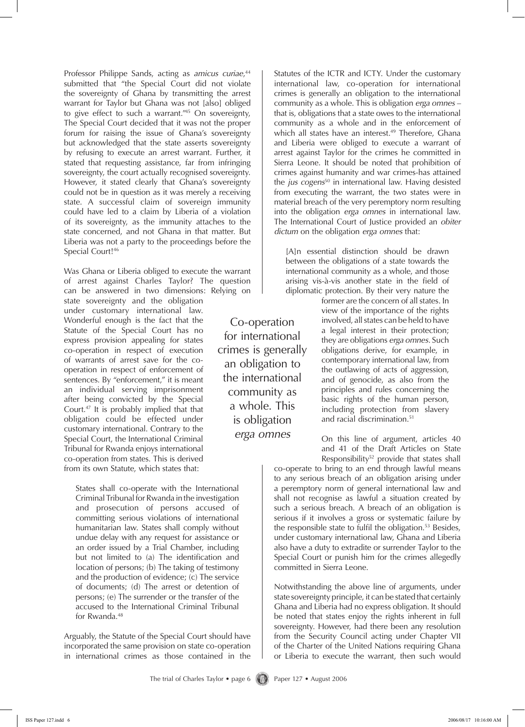Professor Philippe Sands, acting as *amicus curiae*, 44 submitted that "the Special Court did not violate the sovereignty of Ghana by transmitting the arrest warrant for Taylor but Ghana was not [also] obliged to give effect to such a warrant."45 On sovereignty, The Special Court decided that it was not the proper forum for raising the issue of Ghana's sovereignty but acknowledged that the state asserts sovereignty by refusing to execute an arrest warrant. Further, it stated that requesting assistance, far from infringing sovereignty, the court actually recognised sovereignty. However, it stated clearly that Ghana's sovereignty could not be in question as it was merely a receiving state. A successful claim of sovereign immunity could have led to a claim by Liberia of a violation of its sovereignty, as the immunity attaches to the state concerned, and not Ghana in that matter. But Liberia was not a party to the proceedings before the Special Court!<sup>46</sup>

Was Ghana or Liberia obliged to execute the warrant of arrest against Charles Taylor? The question can be answered in two dimensions: Relying on

state sovereignty and the obligation under customary international law. Wonderful enough is the fact that the Statute of the Special Court has no express provision appealing for states co-operation in respect of execution of warrants of arrest save for the cooperation in respect of enforcement of sentences. By "enforcement," it is meant an individual serving imprisonment after being convicted by the Special Court.47 It is probably implied that that obligation could be effected under customary international. Contrary to the Special Court, the International Criminal Tribunal for Rwanda enjoys international co-operation from states. This is derived from its own Statute, which states that:

States shall co-operate with the International Criminal Tribunal for Rwanda in the investigation and prosecution of persons accused of committing serious violations of international humanitarian law. States shall comply without undue delay with any request for assistance or an order issued by a Trial Chamber, including but not limited to (a) The identification and location of persons; (b) The taking of testimony and the production of evidence; (c) The service of documents; (d) The arrest or detention of persons; (e) The surrender or the transfer of the accused to the International Criminal Tribunal for Rwanda.<sup>48</sup>

Arguably, the Statute of the Special Court should have incorporated the same provision on state co-operation in international crimes as those contained in the

Co-operation for international crimes is generally an obligation to the international community as a whole. This is obligation *erga omnes*

Statutes of the ICTR and ICTY. Under the customary international law, co-operation for international crimes is generally an obligation to the international community as a whole. This is obligation *erga omnes –*  that is, obligations that a state owes to the international community as a whole and in the enforcement of which all states have an interest.<sup>49</sup> Therefore, Ghana and Liberia were obliged to execute a warrant of arrest against Taylor for the crimes he committed in Sierra Leone. It should be noted that prohibition of crimes against humanity and war crimes-has attained the *jus cogens*<sup>50</sup> in international law. Having desisted from executing the warrant, the two states were in material breach of the very peremptory norm resulting into the obligation *erga omnes* in international law. The International Court of Justice provided an *obiter dictum* on the obligation *erga omnes* that:

[A]n essential distinction should be drawn between the obligations of a state towards the international community as a whole, and those arising vis-à-vis another state in the field of diplomatic protection. By their very nature the

> former are the concern of all states. In view of the importance of the rights involved, all states can be held to have a legal interest in their protection; they are obligations *erga omnes*. Such obligations derive, for example, in contemporary international law, from the outlawing of acts of aggression, and of genocide, as also from the principles and rules concerning the basic rights of the human person, including protection from slavery and racial discrimination.51

On this line of argument, articles 40 and 41 of the Draft Articles on State Responsibility<sup>52</sup> provide that states shall

co-operate to bring to an end through lawful means to any serious breach of an obligation arising under a peremptory norm of general international law and shall not recognise as lawful a situation created by such a serious breach. A breach of an obligation is serious if it involves a gross or systematic failure by the responsible state to fulfil the obligation.<sup>53</sup> Besides, under customary international law, Ghana and Liberia also have a duty to extradite or surrender Taylor to the Special Court or punish him for the crimes allegedly committed in Sierra Leone.

Notwithstanding the above line of arguments, under state sovereignty principle, it can be stated that certainly Ghana and Liberia had no express obligation. It should be noted that states enjoy the rights inherent in full sovereignty. However, had there been any resolution from the Security Council acting under Chapter VII of the Charter of the United Nations requiring Ghana or Liberia to execute the warrant, then such would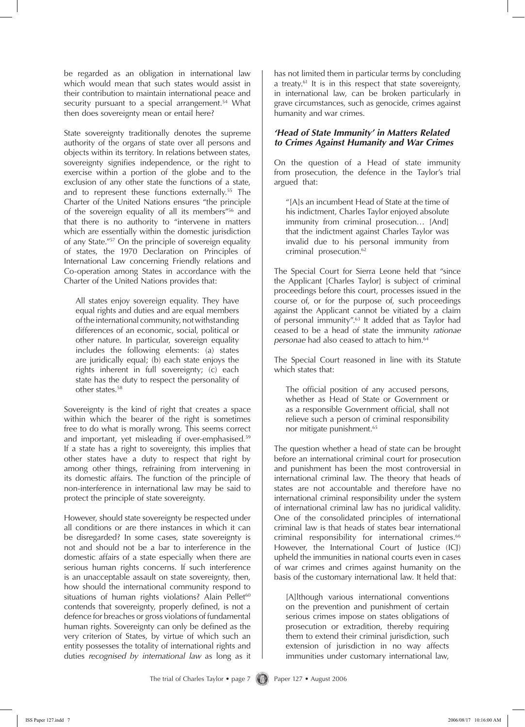be regarded as an obligation in international law which would mean that such states would assist in their contribution to maintain international peace and security pursuant to a special arrangement.<sup>54</sup> What then does sovereignty mean or entail here?

State sovereignty traditionally denotes the supreme authority of the organs of state over all persons and objects within its territory. In relations between states, sovereignty signifies independence, or the right to exercise within a portion of the globe and to the exclusion of any other state the functions of a state, and to represent these functions externally.<sup>55</sup> The Charter of the United Nations ensures "the principle of the sovereign equality of all its members"56 and that there is no authority to "intervene in matters which are essentially within the domestic jurisdiction of any State."57 On the principle of sovereign equality of states, the 1970 Declaration on Principles of International Law concerning Friendly relations and Co-operation among States in accordance with the Charter of the United Nations provides that:

All states enjoy sovereign equality. They have equal rights and duties and are equal members of the international community, not withstanding differences of an economic, social, political or other nature. In particular, sovereign equality includes the following elements: (a) states are juridically equal; (b) each state enjoys the rights inherent in full sovereignty; (c) each state has the duty to respect the personality of other states.58

Sovereignty is the kind of right that creates a space within which the bearer of the right is sometimes free to do what is morally wrong. This seems correct and important, yet misleading if over-emphasised.<sup>59</sup> If a state has a right to sovereignty, this implies that other states have a duty to respect that right by among other things, refraining from intervening in its domestic affairs. The function of the principle of non-interference in international law may be said to protect the principle of state sovereignty.

However, should state sovereignty be respected under all conditions or are there instances in which it can be disregarded? In some cases, state sovereignty is not and should not be a bar to interference in the domestic affairs of a state especially when there are serious human rights concerns. If such interference is an unacceptable assault on state sovereignty, then, how should the international community respond to situations of human rights violations? Alain Pellet<sup>60</sup> contends that sovereignty, properly defined, is not a defence for breaches or gross violations of fundamental human rights. Sovereignty can only be defined as the very criterion of States, by virtue of which such an entity possesses the totality of international rights and duties *recognised by international law* as long as it has not limited them in particular terms by concluding a treaty.<sup>61</sup> It is in this respect that state sovereignty, in international law, can be broken particularly in grave circumstances, such as genocide, crimes against humanity and war crimes.

#### *'Head of State Immunity' in Matters Related to Crimes Against Humanity and War Crimes*

On the question of a Head of state immunity from prosecution, the defence in the Taylor's trial argued that:

"[A]s an incumbent Head of State at the time of his indictment, Charles Taylor enjoyed absolute immunity from criminal prosecution… [And] that the indictment against Charles Taylor was invalid due to his personal immunity from criminal prosecution.<sup>62</sup>

The Special Court for Sierra Leone held that "since the Applicant [Charles Taylor] is subject of criminal proceedings before this court, processes issued in the course of, or for the purpose of, such proceedings against the Applicant cannot be vitiated by a claim of personal immunity".63 It added that as Taylor had ceased to be a head of state the immunity *rationae personae* had also ceased to attach to him.64

The Special Court reasoned in line with its Statute which states that:

The official position of any accused persons, whether as Head of State or Government or as a responsible Government official, shall not relieve such a person of criminal responsibility nor mitigate punishment.<sup>65</sup>

The question whether a head of state can be brought before an international criminal court for prosecution and punishment has been the most controversial in international criminal law. The theory that heads of states are not accountable and therefore have no international criminal responsibility under the system of international criminal law has no juridical validity. One of the consolidated principles of international criminal law is that heads of states bear international criminal responsibility for international crimes.<sup>66</sup> However, the International Court of Justice (ICJ) upheld the immunities in national courts even in cases of war crimes and crimes against humanity on the basis of the customary international law. It held that:

[A]lthough various international conventions on the prevention and punishment of certain serious crimes impose on states obligations of prosecution or extradition, thereby requiring them to extend their criminal jurisdiction, such extension of jurisdiction in no way affects immunities under customary international law,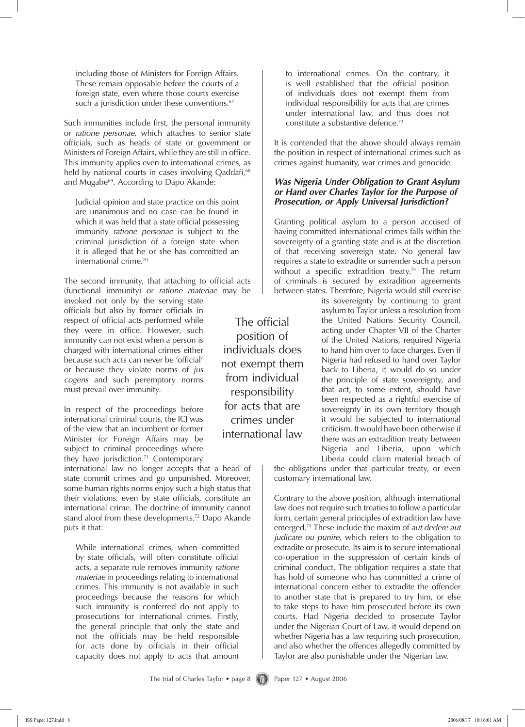including those of Ministers for Foreign Affairs. These remain opposable before the courts of a foreign state, even where those courts exercise such a jurisdiction under these conventions.<sup>67</sup>

Such immunities include first, the personal immunity or *ratione personae*, which attaches to senior state officials, such as heads of state or government or Ministers of Foreign Affairs, while they are still in office. This immunity applies even to international crimes, as held by national courts in cases involving Qaddafi,<sup>68</sup> and Mugabe<sup>69</sup>. According to Dapo Akande:

Judicial opinion and state practice on this point are unanimous and no case can be found in which it was held that a state official possessing immunity *ratione personae* is subject to the criminal jurisdiction of a foreign state when it is alleged that he or she has committed an international crime.70

The second immunity, that attaching to official acts (functional immunity) or *ratione materiae* may be

invoked not only by the serving state officials but also by former officials in respect of official acts performed while they were in office. However, such immunity can not exist when a person is charged with international crimes either because such acts can never be 'official' or because they violate norms of *jus cogens* and such peremptory norms must prevail over immunity.

In respect of the proceedings before international criminal courts, the ICJ was of the view that an incumbent or former Minister for Foreign Affairs may be subject to criminal proceedings where they have jurisdiction.<sup>71</sup> Contemporary

international law no longer accepts that a head of state commit crimes and go unpunished. Moreover, some human rights norms enjoy such a high status that their violations, even by state officials, constitute an international crime. The doctrine of immunity cannot stand aloof from these developments.<sup>72</sup> Dapo Akande puts it that:

While international crimes, when committed by state officials, will often constitute official acts, a separate rule removes immunity *ratione materiae* in proceedings relating to international crimes. This immunity is not available in such proceedings because the reasons for which such immunity is conferred do not apply to prosecutions for international crimes. Firstly, the general principle that only the state and not the officials may be held responsible for acts done by officials in their official capacity does not apply to acts that amount

The official position of individuals does not exempt them from individual responsibility for acts that are crimes under international law

to international crimes. On the contrary, it is well established that the official position of individuals does not exempt them from individual responsibility for acts that are crimes under international law, and thus does not constitute a substantive defence.73

It is contended that the above should always remain the position in respect of international crimes such as crimes against humanity, war crimes and genocide.

#### *Was Nigeria Under Obligation to Grant Asylum or Hand over Charles Taylor for the Purpose of Prosecution, or Apply Universal Jurisdiction?*

Granting political asylum to a person accused of having committed international crimes falls within the sovereignty of a granting state and is at the discretion of that receiving sovereign state. No general law requires a state to extradite or surrender such a person without a specific extradition treaty.<sup>74</sup> The return of criminals is secured by extradition agreements between states. Therefore, Nigeria would still exercise

> its sovereignty by continuing to grant asylum to Taylor unless a resolution from the United Nations Security Council, acting under Chapter VII of the Charter of the United Nations, required Nigeria to hand him over to face charges. Even if Nigeria had refused to hand over Taylor back to Liberia, it would do so under the principle of state sovereignty, and that act, to some extent, should have been respected as a rightful exercise of sovereignty in its own territory though it would be subjected to international criticism. It would have been otherwise if there was an extradition treaty between Nigeria and Liberia, upon which Liberia could claim material breach of

the obligations under that particular treaty, or even customary international law.

Contrary to the above position, although international law does not require such treaties to follow a particular form, certain general principles of extradition law have emerged.75 These include the maxim of *aut dedere aut judicare ou punire*, which refers to the obligation to extradite or prosecute. Its aim is to secure international co-operation in the suppression of certain kinds of criminal conduct. The obligation requires a state that has hold of someone who has committed a crime of international concern either to extradite the offender to another state that is prepared to try him, or else to take steps to have him prosecuted before its own courts. Had Nigeria decided to prosecute Taylor under the Nigerian Court of Law, it would depend on whether Nigeria has a law requiring such prosecution, and also whether the offences allegedly committed by Taylor are also punishable under the Nigerian law.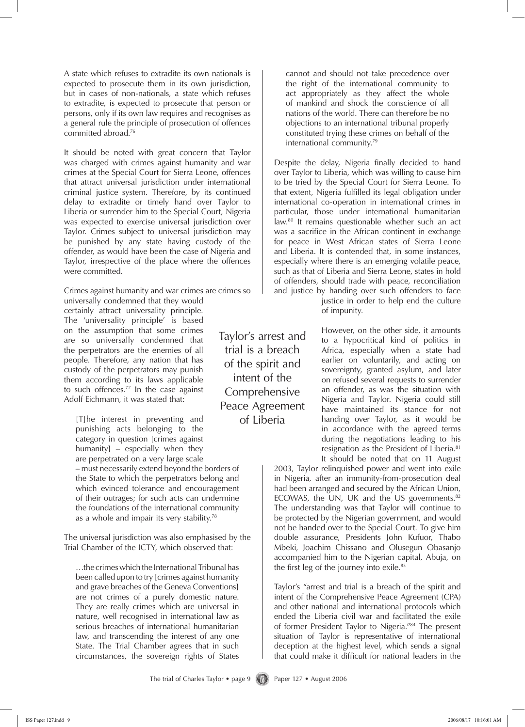A state which refuses to extradite its own nationals is expected to prosecute them in its own jurisdiction, but in cases of non-nationals, a state which refuses to extradite, is expected to prosecute that person or persons, only if its own law requires and recognises as a general rule the principle of prosecution of offences committed abroad.76

It should be noted with great concern that Taylor was charged with crimes against humanity and war crimes at the Special Court for Sierra Leone, offences that attract universal jurisdiction under international criminal justice system. Therefore, by its continued delay to extradite or timely hand over Taylor to Liberia or surrender him to the Special Court, Nigeria was expected to exercise universal jurisdiction over Taylor. Crimes subject to universal jurisdiction may be punished by any state having custody of the offender, as would have been the case of Nigeria and Taylor, irrespective of the place where the offences were committed.

Crimes against humanity and war crimes are crimes so

universally condemned that they would certainly attract universality principle. The 'universality principle' is based on the assumption that some crimes are so universally condemned that the perpetrators are the enemies of all people. Therefore, any nation that has custody of the perpetrators may punish them according to its laws applicable to such offences.<sup>77</sup> In the case against Adolf Eichmann, it was stated that:

[T]he interest in preventing and punishing acts belonging to the category in question [crimes against humanity] – especially when they are perpetrated on a very large scale

– must necessarily extend beyond the borders of the State to which the perpetrators belong and which evinced tolerance and encouragement of their outrages; for such acts can undermine the foundations of the international community as a whole and impair its very stability.<sup>78</sup>

The universal jurisdiction was also emphasised by the Trial Chamber of the ICTY, which observed that:

…the crimes which the International Tribunal has been called upon to try [crimes against humanity and grave breaches of the Geneva Conventions] are not crimes of a purely domestic nature. They are really crimes which are universal in nature, well recognised in international law as serious breaches of international humanitarian law, and transcending the interest of any one State. The Trial Chamber agrees that in such circumstances, the sovereign rights of States

Taylor's arrest and trial is a breach of the spirit and intent of the **Comprehensive** Peace Agreement of Liberia

cannot and should not take precedence over the right of the international community to act appropriately as they affect the whole of mankind and shock the conscience of all nations of the world. There can therefore be no objections to an international tribunal properly constituted trying these crimes on behalf of the international community.79

Despite the delay, Nigeria finally decided to hand over Taylor to Liberia, which was willing to cause him to be tried by the Special Court for Sierra Leone. To that extent, Nigeria fulfilled its legal obligation under international co-operation in international crimes in particular, those under international humanitarian law.<sup>80</sup> It remains questionable whether such an act was a sacrifice in the African continent in exchange for peace in West African states of Sierra Leone and Liberia. It is contended that, in some instances, especially where there is an emerging volatile peace, such as that of Liberia and Sierra Leone, states in hold of offenders, should trade with peace, reconciliation and justice by handing over such offenders to face

justice in order to help end the culture of impunity.

However, on the other side, it amounts to a hypocritical kind of politics in Africa, especially when a state had earlier on voluntarily, and acting on sovereignty, granted asylum, and later on refused several requests to surrender an offender, as was the situation with Nigeria and Taylor. Nigeria could still have maintained its stance for not handing over Taylor, as it would be in accordance with the agreed terms during the negotiations leading to his resignation as the President of Liberia.<sup>81</sup> It should be noted that on 11 August

2003, Taylor relinquished power and went into exile in Nigeria, after an immunity-from-prosecution deal had been arranged and secured by the African Union, ECOWAS, the UN, UK and the US governments. $82$ The understanding was that Taylor will continue to be protected by the Nigerian government, and would not be handed over to the Special Court. To give him double assurance, Presidents John Kufuor, Thabo Mbeki, Joachim Chissano and Olusegun Obasanjo accompanied him to the Nigerian capital, Abuja, on the first leg of the journey into exile. $83$ 

Taylor's "arrest and trial is a breach of the spirit and intent of the Comprehensive Peace Agreement (CPA) and other national and international protocols which ended the Liberia civil war and facilitated the exile of former President Taylor to Nigeria."84 The present situation of Taylor is representative of international deception at the highest level, which sends a signal that could make it difficult for national leaders in the

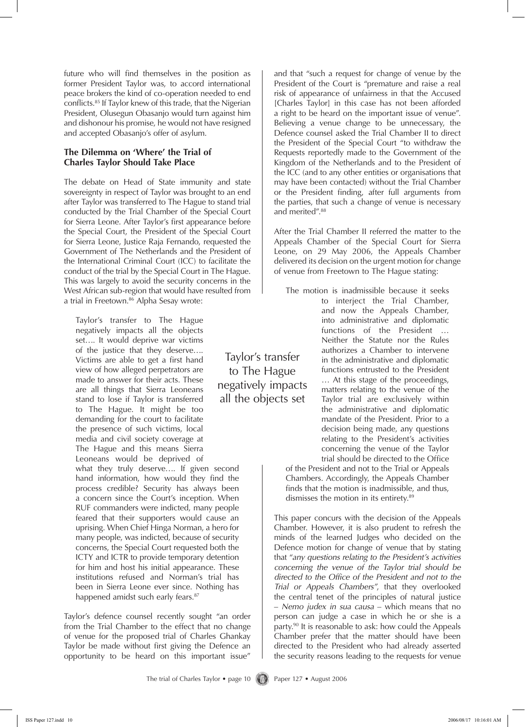future who will find themselves in the position as former President Taylor was, to accord international peace brokers the kind of co-operation needed to end conflicts.85 If Taylor knew of this trade, that the Nigerian President, Olusegun Obasanjo would turn against him and dishonour his promise, he would not have resigned and accepted Obasanjo's offer of asylum.

#### **The Dilemma on 'Where' the Trial of Charles Taylor Should Take Place**

The debate on Head of State immunity and state sovereignty in respect of Taylor was brought to an end after Taylor was transferred to The Hague to stand trial conducted by the Trial Chamber of the Special Court for Sierra Leone. After Taylor's first appearance before the Special Court, the President of the Special Court for Sierra Leone, Justice Raja Fernando, requested the Government of The Netherlands and the President of the International Criminal Court (ICC) to facilitate the conduct of the trial by the Special Court in The Hague. This was largely to avoid the security concerns in the West African sub-region that would have resulted from a trial in Freetown.<sup>86</sup> Alpha Sesay wrote:

Taylor's transfer to The Hague negatively impacts all the objects set…. It would deprive war victims of the justice that they deserve…. Victims are able to get a first hand view of how alleged perpetrators are made to answer for their acts. These are all things that Sierra Leoneans stand to lose if Taylor is transferred to The Hague. It might be too demanding for the court to facilitate the presence of such victims, local media and civil society coverage at The Hague and this means Sierra Leoneans would be deprived of

what they truly deserve…. If given second hand information, how would they find the process credible? Security has always been a concern since the Court's inception. When RUF commanders were indicted, many people feared that their supporters would cause an uprising. When Chief Hinga Norman, a hero for many people, was indicted, because of security concerns, the Special Court requested both the ICTY and ICTR to provide temporary detention for him and host his initial appearance. These institutions refused and Norman's trial has been in Sierra Leone ever since. Nothing has happened amidst such early fears.<sup>87</sup>

Taylor's defence counsel recently sought "an order from the Trial Chamber to the effect that no change of venue for the proposed trial of Charles Ghankay Taylor be made without first giving the Defence an opportunity to be heard on this important issue"

and that "such a request for change of venue by the President of the Court is "premature and raise a real risk of appearance of unfairness in that the Accused [Charles Taylor] in this case has not been afforded a right to be heard on the important issue of venue". Believing a venue change to be unnecessary, the Defence counsel asked the Trial Chamber II to direct the President of the Special Court "to withdraw the Requests reportedly made to the Government of the Kingdom of the Netherlands and to the President of the ICC (and to any other entities or organisations that may have been contacted) without the Trial Chamber or the President finding, after full arguments from the parties, that such a change of venue is necessary and merited".<sup>88</sup>

After the Trial Chamber II referred the matter to the Appeals Chamber of the Special Court for Sierra Leone, on 29 May 2006, the Appeals Chamber delivered its decision on the urgent motion for change of venue from Freetown to The Hague stating:

The motion is inadmissible because it seeks to interject the Trial Chamber, and now the Appeals Chamber, into administrative and diplomatic functions of the President … Neither the Statute nor the Rules authorizes a Chamber to intervene in the administrative and diplomatic functions entrusted to the President … At this stage of the proceedings, matters relating to the venue of the Taylor trial are exclusively within the administrative and diplomatic mandate of the President. Prior to a decision being made, any questions relating to the President's activities concerning the venue of the Taylor trial should be directed to the Office

of the President and not to the Trial or Appeals Chambers. Accordingly, the Appeals Chamber finds that the motion is inadmissible, and thus, dismisses the motion in its entirety.<sup>89</sup>

This paper concurs with the decision of the Appeals Chamber. However, it is also prudent to refresh the minds of the learned Judges who decided on the Defence motion for change of venue that by stating that "*any questions relating to the President's activities concerning the venue of the Taylor trial should be directed to the Office of the President and not to the Trial or Appeals Chambers"*, that they overlooked the central tenet of the principles of natural justice – *Nemo judex in sua causa* – which means that no person can judge a case in which he or she is a party.90 It is reasonable to ask: how could the Appeals Chamber prefer that the matter should have been directed to the President who had already asserted the security reasons leading to the requests for venue

Taylor's transfer to The Hague negatively impacts all the objects set

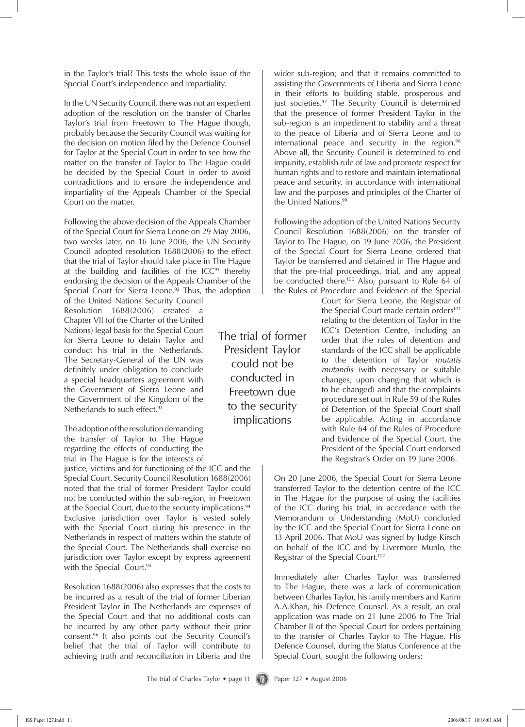in the Taylor's trial? This tests the whole issue of the Special Court's independence and impartiality.

In the UN Security Council, there was not an expedient adoption of the resolution on the transfer of Charles Taylor's trial from Freetown to The Hague though, probably because the Security Council was waiting for the decision on motion filed by the Defence Counsel for Taylor at the Special Court in order to see how the matter on the transfer of Taylor to The Hague could be decided by the Special Court in order to avoid contradictions and to ensure the independence and impartiality of the Appeals Chamber of the Special Court on the matter.

Following the above decision of the Appeals Chamber of the Special Court for Sierra Leone on 29 May 2006, two weeks later, on 16 June 2006, the UN Security Council adopted resolution 1688(2006) to the effect that the trial of Taylor should take place in The Hague at the building and facilities of the  $ICC<sup>91</sup>$  thereby endorsing the decision of the Appeals Chamber of the Special Court for Sierra Leone.<sup>92</sup> Thus, the adoption

of the United Nations Security Council Resolution 1688(2006) created a Chapter VII (of the Charter of the United Nations) legal basis for the Special Court for Sierra Leone to detain Taylor and conduct his trial in the Netherlands. The Secretary-General of the UN was definitely under obligation to conclude a special headquarters agreement with the Government of Sierra Leone and the Government of the Kingdom of the Netherlands to such effect.<sup>93</sup>

The adoption of the resolution demanding the transfer of Taylor to The Hague regarding the effects of conducting the trial in The Hague is for the interests of

justice, victims and for functioning of the ICC and the Special Court. Security Council Resolution 1688(2006) noted that the trial of former President Taylor could not be conducted within the sub-region, in Freetown at the Special Court, due to the security implications.<sup>94</sup> Exclusive jurisdiction over Taylor is vested solely with the Special Court during his presence in the Netherlands in respect of matters within the statute of the Special Court. The Netherlands shall exercise no jurisdiction over Taylor except by express agreement with the Special Court.95

Resolution 1688(2006) also expresses that the costs to be incurred as a result of the trial of former Liberian President Taylor in The Netherlands are expenses of the Special Court and that no additional costs can be incurred by any other party without their prior consent.96 It also points out the Security Council's belief that the trial of Taylor will contribute to achieving truth and reconciliation in Liberia and the just societies.<sup>97</sup> The Security Council is determined that the presence of former President Taylor in the sub-region is an impediment to stability and a threat to the peace of Liberia and of Sierra Leone and to international peace and security in the region. $98$ Above all, the Security Council is determined to end impunity, establish rule of law and promote respect for human rights and to restore and maintain international peace and security, in accordance with international law and the purposes and principles of the Charter of the United Nations.<sup>99</sup>

wider sub-region; and that it remains committed to assisting the Governments of Liberia and Sierra Leone in their efforts to building stable, prosperous and

Following the adoption of the United Nations Security Council Resolution 1688(2006) on the transfer of Taylor to The Hague, on 19 June 2006, the President of the Special Court for Sierra Leone ordered that Taylor be transferred and detained in The Hague and that the pre-trial proceedings, trial, and any appeal be conducted there.<sup>100</sup> Also, pursuant to Rule 64 of the Rules of Procedure and Evidence of the Special

> Court for Sierra Leone, the Registrar of the Special Court made certain orders<sup>101</sup> relating to the detention of Taylor in the ICC's Detention Centre, including an order that the rules of detention and standards of the ICC shall be applicable to the detention of Taylor *mutatis mutandis* (with necessary or suitable changes; upon changing that which is to be changed) and that the complaints procedure set out in Rule 59 of the Rules of Detention of the Special Court shall be applicable. Acting in accordance with Rule 64 of the Rules of Procedure and Evidence of the Special Court, the President of the Special Court endorsed the Registrar's Order on 19 June 2006.

On 20 June 2006, the Special Court for Sierra Leone transferred Taylor to the detention centre of the ICC in The Hague for the purpose of using the facilities of the ICC during his trial, in accordance with the Memorandum of Understanding (MoU) concluded by the ICC and the Special Court for Sierra Leone on 13 April 2006. That MoU was signed by Judge Kirsch on behalf of the ICC and by Livermore Munlo, the Registrar of the Special Court.102

Immediately after Charles Taylor was transferred to The Hague, there was a lack of communication between Charles Taylor, his family members and Karim A.A.Khan, his Defence Counsel. As a result, an oral application was made on 21 June 2006 to The Trial Chamber II of the Special Court for orders pertaining to the transfer of Charles Taylor to The Hague. His Defence Counsel, during the Status Conference at the Special Court, sought the following orders:

The trial of former President Taylor could not be conducted in Freetown due to the security implications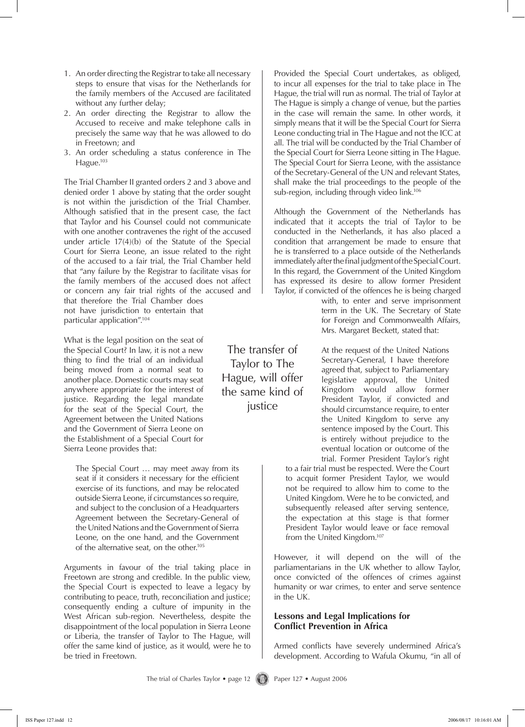- An order directing the Registrar to take all necessary 1. steps to ensure that visas for the Netherlands for the family members of the Accused are facilitated without any further delay;
- An order directing the Registrar to allow the 2. Accused to receive and make telephone calls in precisely the same way that he was allowed to do in Freetown; and
- An order scheduling a status conference in The 3. Hague.<sup>103</sup>

The Trial Chamber II granted orders 2 and 3 above and denied order 1 above by stating that the order sought is not within the jurisdiction of the Trial Chamber. Although satisfied that in the present case, the fact that Taylor and his Counsel could not communicate with one another contravenes the right of the accused under article 17(4)(b) of the Statute of the Special Court for Sierra Leone, an issue related to the right of the accused to a fair trial, the Trial Chamber held that "any failure by the Registrar to facilitate visas for the family members of the accused does not affect or concern any fair trial rights of the accused and

that therefore the Trial Chamber does not have jurisdiction to entertain that particular application".104

What is the legal position on the seat of the Special Court? In law, it is not a new thing to find the trial of an individual being moved from a normal seat to another place. Domestic courts may seat anywhere appropriate for the interest of justice. Regarding the legal mandate for the seat of the Special Court, the Agreement between the United Nations and the Government of Sierra Leone on the Establishment of a Special Court for Sierra Leone provides that:

The Special Court … may meet away from its seat if it considers it necessary for the efficient exercise of its functions, and may be relocated outside Sierra Leone, if circumstances so require, and subject to the conclusion of a Headquarters Agreement between the Secretary-General of the United Nations and the Government of Sierra Leone, on the one hand, and the Government of the alternative seat, on the other.105

Arguments in favour of the trial taking place in Freetown are strong and credible. In the public view, the Special Court is expected to leave a legacy by contributing to peace, truth, reconciliation and justice; consequently ending a culture of impunity in the West African sub-region. Nevertheless, despite the disappointment of the local population in Sierra Leone or Liberia, the transfer of Taylor to The Hague, will offer the same kind of justice, as it would, were he to be tried in Freetown.

of the Secretary-General of the UN and relevant States, shall make the trial proceedings to the people of the sub-region, including through video link.<sup>106</sup> Although the Government of the Netherlands has indicated that it accepts the trial of Taylor to be conducted in the Netherlands, it has also placed a condition that arrangement be made to ensure that he is transferred to a place outside of the Netherlands immediately after the final judgment of the Special Court. In this regard, the Government of the United Kingdom

Provided the Special Court undertakes, as obliged, to incur all expenses for the trial to take place in The Hague, the trial will run as normal. The trial of Taylor at The Hague is simply a change of venue, but the parties in the case will remain the same. In other words, it simply means that it will be the Special Court for Sierra Leone conducting trial in The Hague and not the ICC at all. The trial will be conducted by the Trial Chamber of the Special Court for Sierra Leone sitting in The Hague. The Special Court for Sierra Leone, with the assistance

Taylor, if convicted of the offences he is being charged with, to enter and serve imprisonment term in the UK. The Secretary of State for Foreign and Commonwealth Affairs, Mrs. Margaret Beckett, stated that:

has expressed its desire to allow former President

At the request of the United Nations Secretary-General, I have therefore agreed that, subject to Parliamentary legislative approval, the United Kingdom would allow former President Taylor, if convicted and should circumstance require, to enter the United Kingdom to serve any sentence imposed by the Court. This is entirely without prejudice to the eventual location or outcome of the trial. Former President Taylor's right

to a fair trial must be respected. Were the Court to acquit former President Taylor, we would not be required to allow him to come to the United Kingdom. Were he to be convicted, and subsequently released after serving sentence, the expectation at this stage is that former President Taylor would leave or face removal from the United Kingdom.107

However, it will depend on the will of the parliamentarians in the UK whether to allow Taylor, once convicted of the offences of crimes against humanity or war crimes, to enter and serve sentence in the UK.

#### **Lessons and Legal Implications for Conflict Prevention in Africa**

Armed conflicts have severely undermined Africa's development. According to Wafula Okumu, "in all of

The transfer of Taylor to The Hague, will offer the same kind of justice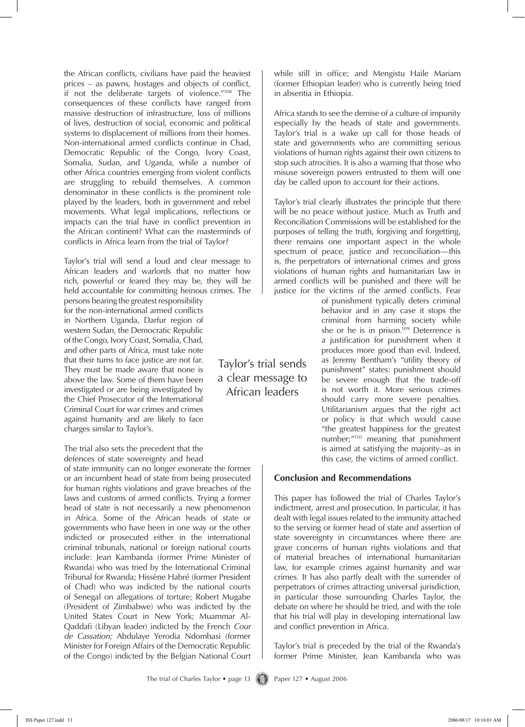the African conflicts, civilians have paid the heaviest prices – as pawns, hostages and objects of conflict, if not the deliberate targets of violence."108 The consequences of these conflicts have ranged from massive destruction of infrastructure, loss of millions of lives, destruction of social, economic and political systems to displacement of millions from their homes. Non-international armed conflicts continue in Chad, Democratic Republic of the Congo, Ivory Coast, Somalia, Sudan, and Uganda, while a number of other Africa countries emerging from violent conflicts are struggling to rebuild themselves. A common denominator in these conflicts is the prominent role played by the leaders, both in government and rebel movements. What legal implications, reflections or impacts can the trial have in conflict prevention in the African continent? What can the masterminds of conflicts in Africa learn from the trial of Taylor?

Taylor's trial will send a loud and clear message to African leaders and warlords that no matter how rich, powerful or feared they may be, they will be held accountable for committing heinous crimes. The

persons bearing the greatest responsibility for the non-international armed conflicts in Northern Uganda, Darfur region of western Sudan, the Democratic Republic of the Congo, Ivory Coast, Somalia, Chad, and other parts of Africa, must take note that their turns to face justice are not far. They must be made aware that none is above the law. Some of them have been investigated or are being investigated by the Chief Prosecutor of the International Criminal Court for war crimes and crimes against humanity and are likely to face charges similar to Taylor's.

The trial also sets the precedent that the defences of state sovereignty and head

of state immunity can no longer exonerate the former or an incumbent head of state from being prosecuted for human rights violations and grave breaches of the laws and customs of armed conflicts. Trying a former head of state is not necessarily a new phenomenon in Africa. Some of the African heads of state or governments who have been in one way or the other indicted or prosecuted either in the international criminal tribunals, national or foreign national courts include: Jean Kambanda (former Prime Minister of Rwanda) who was tried by the International Criminal Tribunal for Rwanda; Hissène Habré (former President of Chad) who was indicted by the national courts of Senegal on allegations of torture; Robert Mugabe (President of Zimbabwe) who was indicted by the United States Court in New York; Muammar Al-Qaddafi (Libyan leader) indicted by the French *Cour de Cassation;* Abdulaye Yerodia Ndombasi (former Minister for Foreign Affairs of the Democratic Republic of the Congo) indicted by the Belgian National Court

Taylor's trial sends a clear message to African leaders

while still in office; and Mengistu Haile Mariam (former Ethiopian leader) who is currently being tried in absentia in Ethiopia.

Africa stands to see the demise of a culture of impunity especially by the heads of state and governments. Taylor's trial is a wake up call for those heads of state and governments who are committing serious violations of human rights against their own citizens to stop such atrocities. It is also a warning that those who misuse sovereign powers entrusted to them will one day be called upon to account for their actions.

Taylor's trial clearly illustrates the principle that there will be no peace without justice. Much as Truth and Reconciliation Commissions will be established for the purposes of telling the truth, forgiving and forgetting, there remains one important aspect in the whole spectrum of peace, justice and reconciliation—this is, the perpetrators of international crimes and gross violations of human rights and humanitarian law in armed conflicts will be punished and there will be justice for the victims of the armed conflicts. Fear

of punishment typically deters criminal behavior and in any case it stops the criminal from harming society while she or he is in prison.<sup>109</sup> Deterrence is a justification for punishment when it produces more good than evil. Indeed, as Jeremy Bentham's "utility theory of punishment" states: punishment should be severe enough that the trade-off is not worth it. More serious crimes should carry more severe penalties. Utilitarianism argues that the right act or policy is that which would cause "the greatest happiness for the greatest number;"110 meaning that punishment is aimed at satisfying the majority–as in this case, the victims of armed conflict.

### **Conclusion and Recommendations**

This paper has followed the trial of Charles Taylor's indictment, arrest and prosecution. In particular, it has dealt with legal issues related to the immunity attached to the serving or former head of state and assertion of state sovereignty in circumstances where there are grave concerns of human rights violations and that of material breaches of international humanitarian law, for example crimes against humanity and war crimes. It has also partly dealt with the surrender of perpetrators of crimes attracting universal jurisdiction, in particular those surrounding Charles Taylor, the debate on where he should be tried, and with the role that his trial will play in developing international law and conflict prevention in Africa.

Taylor's trial is preceded by the trial of the Rwanda's former Prime Minister, Jean Kambanda who was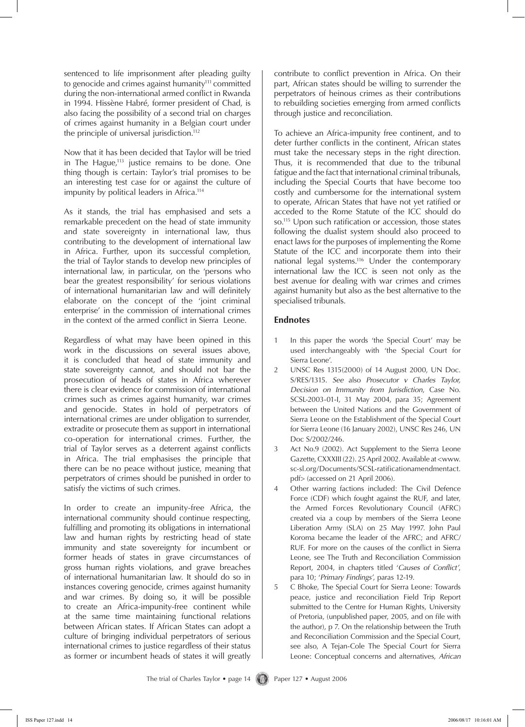sentenced to life imprisonment after pleading guilty to genocide and crimes against humanity<sup>111</sup> committed during the non-international armed conflict in Rwanda in 1994. Hissène Habré, former president of Chad, is also facing the possibility of a second trial on charges of crimes against humanity in a Belgian court under the principle of universal jurisdiction.<sup>112</sup>

Now that it has been decided that Taylor will be tried in The Hague, $113$  justice remains to be done. One thing though is certain: Taylor's trial promises to be an interesting test case for or against the culture of impunity by political leaders in Africa.<sup>114</sup>

As it stands, the trial has emphasised and sets a remarkable precedent on the head of state immunity and state sovereignty in international law, thus contributing to the development of international law in Africa. Further, upon its successful completion, the trial of Taylor stands to develop new principles of international law, in particular, on the 'persons who bear the greatest responsibility' for serious violations of international humanitarian law and will definitely elaborate on the concept of the 'joint criminal enterprise' in the commission of international crimes in the context of the armed conflict in Sierra Leone.

Regardless of what may have been opined in this work in the discussions on several issues above, it is concluded that head of state immunity and state sovereignty cannot, and should not bar the prosecution of heads of states in Africa wherever there is clear evidence for commission of international crimes such as crimes against humanity, war crimes and genocide. States in hold of perpetrators of international crimes are under obligation to surrender, extradite or prosecute them as support in international co-operation for international crimes. Further, the trial of Taylor serves as a deterrent against conflicts in Africa. The trial emphasises the principle that there can be no peace without justice, meaning that perpetrators of crimes should be punished in order to satisfy the victims of such crimes.

In order to create an impunity-free Africa, the international community should continue respecting, fulfilling and promoting its obligations in international law and human rights by restricting head of state immunity and state sovereignty for incumbent or former heads of states in grave circumstances of gross human rights violations, and grave breaches of international humanitarian law. It should do so in instances covering genocide, crimes against humanity and war crimes. By doing so, it will be possible to create an Africa-impunity-free continent while at the same time maintaining functional relations between African states. If African States can adopt a culture of bringing individual perpetrators of serious international crimes to justice regardless of their status as former or incumbent heads of states it will greatly

contribute to conflict prevention in Africa. On their part, African states should be willing to surrender the perpetrators of heinous crimes as their contributions to rebuilding societies emerging from armed conflicts through justice and reconciliation.

To achieve an Africa-impunity free continent, and to deter further conflicts in the continent, African states must take the necessary steps in the right direction. Thus, it is recommended that due to the tribunal fatigue and the fact that international criminal tribunals, including the Special Courts that have become too costly and cumbersome for the international system to operate, African States that have not yet ratified or acceded to the Rome Statute of the ICC should do so.115 Upon such ratification or accession, those states following the dualist system should also proceed to enact laws for the purposes of implementing the Rome Statute of the ICC and incorporate them into their national legal systems.<sup>116</sup> Under the contemporary international law the ICC is seen not only as the best avenue for dealing with war crimes and crimes against humanity but also as the best alternative to the specialised tribunals.

#### **Endnotes**

- 1 In this paper the words 'the Special Court' may be used interchangeably with 'the Special Court for Sierra Leone'.
- 2 UNSC Res 1315(2000) of 14 August 2000, UN Doc. S/RES/1315. *See* also *Prosecutor v Charles Taylor, Decision on Immunity from Jurisdiction*, Case No. SCSL-2003-01-I, 31 May 2004, para 35; Agreement between the United Nations and the Government of Sierra Leone on the Establishment of the Special Court for Sierra Leone (16 January 2002), UNSC Res 246, UN Doc S/2002/246.
- 3 Act No.9 (2002). Act Supplement to the Sierra Leone Gazette, CXXXIII (22). 25 April 2002. Available at <www. sc-sl.org/Documents/SCSL-ratificationamendmentact. pdf> (accessed on 21 April 2006).
- 4 Other warring factions included: The Civil Defence Force (CDF) which fought against the RUF, and later, the Armed Forces Revolutionary Council (AFRC) created via a coup by members of the Sierra Leone Liberation Army (SLA) on 25 May 1997. John Paul Koroma became the leader of the AFRC; and AFRC/ RUF. For more on the causes of the conflict in Sierra Leone, see The Truth and Reconciliation Commission Report, 2004, in chapters titled '*Causes of Conflict'*, para 10; '*Primary Findings'*, paras 12-19.
- 5 C Bhoke, The Special Court for Sierra Leone: Towards peace, justice and reconciliation Field Trip Report submitted to the Centre for Human Rights, University of Pretoria, (unpublished paper, 2005, and on file with the author), p 7. On the relationship between the Truth and Reconciliation Commission and the Special Court, see also, A Tejan-Cole The Special Court for Sierra Leone: Conceptual concerns and alternatives, *African*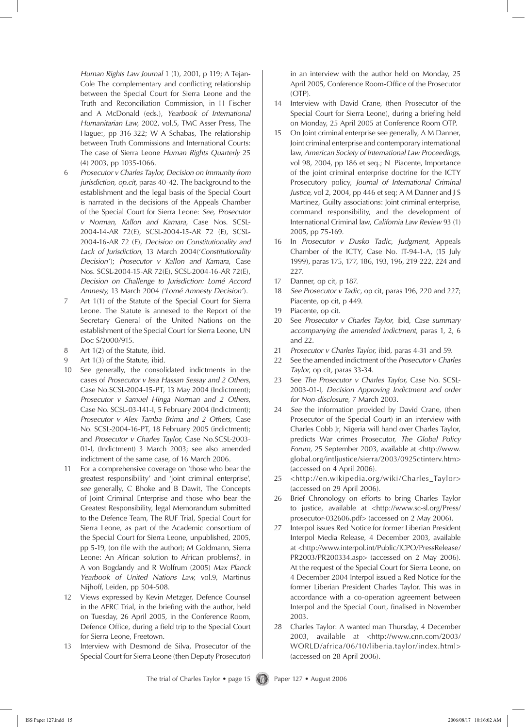*Human Rights Law Journal* 1 (1), 2001, p 119; A Tejan-Cole The complementary and conflicting relationship between the Special Court for Sierra Leone and the Truth and Reconciliation Commission, in H Fischer and A McDonald (eds.), *Yearbook of International Humanitarian Law*, 2002, vol.5, TMC Asser Press, The Hague:, pp 316-322; W A Schabas, The relationship between Truth Commissions and International Courts: The case of Sierra Leone *Human Rights Quarterly* 25 (4) 2003, pp 1035-1066.

- 6 *Prosecutor v Charles Taylor, Decision on Immunity from jurisdiction, op.cit*, paras 40-42. The background to the establishment and the legal basis of the Special Court is narrated in the decisions of the Appeals Chamber of the Special Court for Sierra Leone: *See, Prosecutor v Norman, Kallon and Kamara*, Case Nos. SCSL-2004-14-AR 72(E), SCSL-2004-15-AR 72 (E), SCSL-2004-16-AR 72 (E), *Decision on Constitutionality and Lack of Jurisdiction*, 13 March 2004('*Constitutionality Decision'*); *Prosecutor v Kallon and Kamara*, Case Nos. SCSL-2004-15-AR 72(E), SCSL-2004-16-AR 72(E), *Decision on Challenge to Jurisdiction: Lomé Accord Amnesty,* 13 March 2004 *('Lomé Amnesty Decision'*).
- 7 Art 1(1) of the Statute of the Special Court for Sierra Leone. The Statute is annexed to the Report of the Secretary General of the United Nations on the establishment of the Special Court for Sierra Leone, UN Doc S/2000/915.
- 8 Art 1(2) of the Statute, ibid*.*
- 9 Art 1(3) of the Statute, ibid.
- 10 See generally, the consolidated indictments in the cases of *Prosecutor v Issa Hassan Sessay and 2 Others*, Case No.SCSL-2004-15-PT, 13 May 2004 (Indictment); *Prosecutor v Samuel Hinga Norman and 2 Others*, Case No. SCSL-03-141-I, 5 February 2004 (Indictment); *Prosecutor v Alex Tamba Brima and 2 Others,* Case No. SCSL-2004-16-PT, 18 February 2005 (indictment); and *Prosecutor v Charles Taylor,* Case No.SCSL-2003- 01-I, (Indictment) 3 March 2003; see also amended indictment of the same case, of 16 March 2006.
- 11 For a comprehensive coverage on 'those who bear the greatest responsibility' and 'joint criminal enterprise', *see* generally, C Bhoke and B Dawit, The Concepts of Joint Criminal Enterprise and those who bear the Greatest Responsibility, legal Memorandum submitted to the Defence Team, The RUF Trial, Special Court for Sierra Leone, as part of the Academic consortium of the Special Court for Sierra Leone, unpublished, 2005, pp 5-19, (on file with the author); M Goldmann, Sierra Leone: An African solution to African problems?, in A von Bogdandy and R Wolfrum (2005) *Max Planck Yearbook of United Nations Law,* vol.9, Martinus Nijhoff, Leiden, pp 504-508.
- 12 Views expressed by Kevin Metzger, Defence Counsel in the AFRC Trial, in the briefing with the author, held on Tuesday, 26 April 2005, in the Conference Room, Defence Office, during a field trip to the Special Court for Sierra Leone, Freetown.
- 13 Interview with Desmond de Silva, Prosecutor of the Special Court for Sierra Leone (then Deputy Prosecutor)

in an interview with the author held on Monday, 25 April 2005, Conference Room-Office of the Prosecutor (OTP).

- 14 Interview with David Crane, (then Prosecutor of the Special Court for Sierra Leone), during a briefing held on Monday, 25 April 2005 at Conference Room OTP.
- 15 On Joint criminal enterprise see generally, A M Danner, Joint criminal enterprise and contemporary international law, *American Society of International Law Proceedings,* vol 98, 2004, pp 186 et seq.; N Piacente, Importance of the joint criminal enterprise doctrine for the ICTY Prosecutory policy, *Journal of International Criminal Justice,* vol 2, 2004, pp 446 et seq; A M Danner and J S Martinez, Guilty associations: Joint criminal enterprise, command responsibility, and the development of International Criminal law, *California Law Review* 93 (1) 2005, pp 75-169.
- 16 In *Prosecutor v Dusko Tadic, Judgment*, Appeals Chamber of the ICTY, Case No. IT-94-1-A, (15 July 1999), paras 175, 177, 186, 193, 196, 219-222, 224 and 227.
- 17 Danner, op cit, p 187.
- 18 *See Prosecutor v Tadic*, op cit, paras 196, 220 and 227; Piacente, op cit, p 449.
- 19 Piacente, op cit*.*
- 20 See *Prosecutor v Charles Taylor*, ibid, *Case summary accompanying the amended indictment*, paras 1, 2, 6 and 22.
- 21 *Prosecutor v Charles Taylor*, ibid, paras 4-31 and 59.
- 22 See the amended indictment of the *Prosecutor v Charles Taylor*, op cit*,* paras 33-34.
- 23 See *The Prosecutor v Charles Taylor*, Case No. SCSL-2003-01-I, *Decision Approving Indictment and order for Non-disclosure,* 7 March 2003.
- 24 *See* the information provided by David Crane, (then Prosecutor of the Special Court) in an interview with Charles Cobb Jr, Nigeria will hand over Charles Taylor, predicts War crimes Prosecutor, *The Global Policy Forum*, 25 September 2003, available at <http://www. global.org/intljustice/sierra/2003/0925ctinterv.htm> (accessed on 4 April 2006).
- 25 <http://en.wikipedia.org/wiki/Charles\_Taylor> (accessed on 29 April 2006).
- 26 Brief Chronology on efforts to bring Charles Taylor to justice, available at <http://www.sc-sl.org/Press/ prosecutor-032606.pdf> (accessed on 2 May 2006).
- 27 Interpol issues Red Notice for former Liberian President Interpol Media Release, 4 December 2003, available at <http://www.interpol.int/Public/ICPO/PressRelease/ PR2003/PR200334.asp> (accessed on 2 May 2006). At the request of the Special Court for Sierra Leone, on 4 December 2004 Interpol issued a Red Notice for the former Liberian President Charles Taylor. This was in accordance with a co-operation agreement between Interpol and the Special Court, finalised in November 2003.
- 28 Charles Taylor: A wanted man Thursday, 4 December 2003, available at <http://www.cnn.com/2003/ WORLD/africa/06/10/liberia.taylor/index.html> (accessed on 28 April 2006).

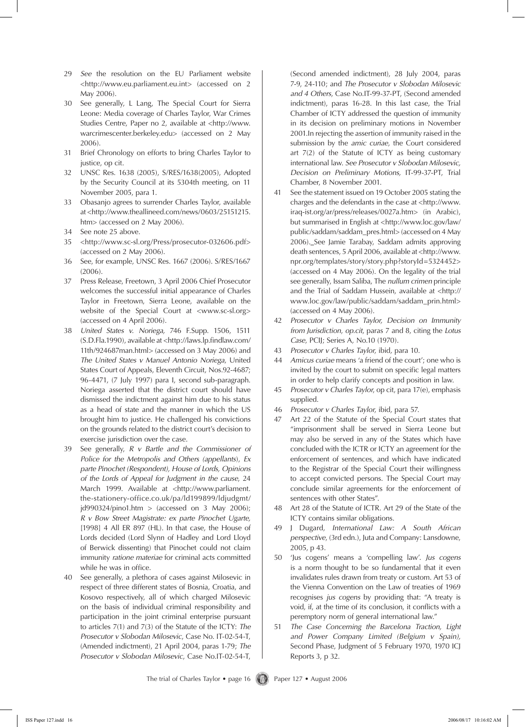- 29 *See* the resolution on the EU Parliament website <http://www.eu.parliament.eu.int> (accessed on 2 May 2006).
- 30 See generally, L Lang, The Special Court for Sierra Leone: Media coverage of Charles Taylor, War Crimes Studies Centre, Paper no 2, available at <http://www. warcrimescenter.berkeley.edu> (accessed on 2 May 2006).
- 31 Brief Chronology on efforts to bring Charles Taylor to justice, op cit*.*
- 32 UNSC Res. 1638 (2005), S/RES/1638(2005), Adopted by the Security Council at its 5304th meeting, on 11 November 2005, para 1.
- 33 Obasanjo agrees to surrender Charles Taylor, available at <http://www.theallineed.com/news/0603/25151215. htm> (accessed on 2 May 2006).
- 34 See note 25 above.
- 35 <http://www.sc-sl.org/Press/prosecutor-032606.pdf> (accessed on 2 May 2006).
- 36 See, for example, UNSC Res. 1667 (2006). S/RES/1667 (2006).
- 37 Press Release, Freetown, 3 April 2006 Chief Prosecutor welcomes the successful initial appearance of Charles Taylor in Freetown, Sierra Leone, available on the website of the Special Court at <www.sc-sl.org> (accessed on 4 April 2006).
- 38 *United States v. Noriega,* 746 F.Supp. 1506, 1511 (S.D.Fla.1990), available at <http://laws.lp.findlaw.com/ 11th/924687man.html> (accessed on 3 May 2006) and *The United States v Manuel Antonio Noriega*, United States Court of Appeals, Eleventh Circuit, Nos.92-4687; 96-4471, (7 July 1997) para I, second sub-paragraph. Noriega asserted that the district court should have dismissed the indictment against him due to his status as a head of state and the manner in which the US brought him to justice. He challenged his convictions on the grounds related to the district court's decision to exercise jurisdiction over the case.
- 39 See generally, *R v Bartle and the Commissioner of Police for the Metropolis and Others (appellants*), *Ex parte Pinochet (Respondent), House of Lords, Opinions of the Lords of Appeal for Judgment in the cause*, 24 March 1999. Available at <http://www.parliament. the-stationery-office.co.uk/pa/ld199899/ldjudgmt/  $jd990324/pino1.htm$  > (accessed on 3 May 2006); *R v Bow Street Magistrate: ex parte Pinochet Ugarte,* [1998] 4 All ER 897 (HL). In that case, the House of Lords decided (Lord Slynn of Hadley and Lord Lloyd of Berwick dissenting) that Pinochet could not claim immunity *ratione materiae* for criminal acts committed while he was in office.
- 40 See generally, a plethora of cases against Milosevic in respect of three different states of Bosnia, Croatia, and Kosovo respectively, all of which charged Milosevic on the basis of individual criminal responsibility and participation in the joint criminal enterprise pursuant to articles 7(1) and 7(3) of the Statute of the ICTY: *The Prosecutor v Slobodan Milosevic*, Case No. IT-02-54-T, (Amended indictment), 21 April 2004, paras 1-79; *The Prosecutor v Slobodan Milosevic*, Case No.IT-02-54-T,

(Second amended indictment), 28 July 2004, paras 7-9, 24-110; and *The Prosecutor v Slobodan Milosevic and 4 Others*, Case No.IT-99-37-PT, (Second amended indictment), paras 16-28. In this last case, the Trial Chamber of ICTY addressed the question of immunity in its decision on preliminary motions in November 2001.In rejecting the assertion of immunity raised in the submission by the *amic curiae*, the Court considered art 7(2) of the Statute of ICTY as being customary international law. *See Prosecutor v Slobodan Milosevic, Decision on Preliminary Motions,* IT-99-37-PT, Trial Chamber, 8 November 2001.

- 41 See the statement issued on 19 October 2005 stating the charges and the defendants in the case at <http://www. iraq-ist.org/ar/press/releases/0027a.htm> (in Arabic), but summarised in English at <http://www.loc.gov/law/ public/saddam/saddam\_pres.html> (accessed on 4 May 2006). See Jamie Tarabay, Saddam admits approving death sentences, 5 April 2006, available at <http://www. npr.org/templates/story/story.php?storyId=5324452> (accessed on 4 May 2006). On the legality of the trial see generally, Issam Saliba, The *nullum crimen* principle and the Trial of Saddam Hussein, available at <http:// www.loc.gov/law/public/saddam/saddam\_prin.html> (accessed on 4 May 2006).
- 42 *Prosecutor v Charles Taylor, Decision on Immunity from Jurisdiction*, *op.cit*, paras 7 and 8, citing the *Lotus Case*, PCIJ; Series A, No.10 (1970).
- 43 *Prosecutor v Charles Taylor*, ibid*,* para 10.
- 44 *Amicus curiae* means 'a friend of the court'; one who is invited by the court to submit on specific legal matters in order to help clarify concepts and position in law.
- 45 *Prosecutor v Charles Taylor*, op cit, para 17(e), emphasis supplied.
- 46 *Prosecutor v Charles Taylor*, ibid*,* para 57.
- 47 Art 22 of the Statute of the Special Court states that "imprisonment shall be served in Sierra Leone but may also be served in any of the States which have concluded with the ICTR or ICTY an agreement for the enforcement of sentences, and which have indicated to the Registrar of the Special Court their willingness to accept convicted persons. The Special Court may conclude similar agreements for the enforcement of sentences with other States".
- 48 Art 28 of the Statute of ICTR. Art 29 of the State of the ICTY contains similar obligations.
- 49 J Dugard, *International Law: A South African perspective*, (3rd edn.), Juta and Company: Lansdowne, 2005, p 43.
- 50 'Jus cogens' means a 'compelling law'. *Jus cogens* is a norm thought to be so fundamental that it even invalidates rules drawn from treaty or custom. Art 53 of the Vienna Convention on the Law of treaties of 1969 recognises *jus cogens* by providing that: "A treaty is void, if, at the time of its conclusion, it conflicts with a peremptory norm of general international law."
- 51 *The Case Concerning the Barcelona Traction, Light and Power Company Limited (Belgium v Spain),* Second Phase, Judgment of 5 February 1970, 1970 ICJ Reports 3, p 32.

The trial of Charles Taylor • page 16 (1) Paper 127 • August 2006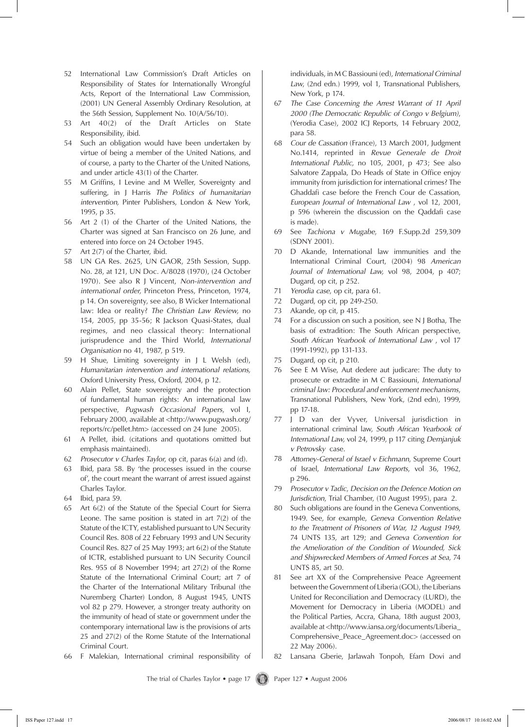- 52 International Law Commission's Draft Articles on Responsibility of States for Internationally Wrongful Acts, Report of the International Law Commission, (2001) UN General Assembly Ordinary Resolution, at the 56th Session, Supplement No. 10(A/56/10).
- 53 Art 40(2) of the Draft Articles on State Responsibility, ibid.
- 54 Such an obligation would have been undertaken by virtue of being a member of the United Nations, and of course, a party to the Charter of the United Nations, and under article 43(1) of the Charter.
- 55 M Griffins, I Levine and M Weller, Sovereignty and suffering, in J Harris *The Politics of humanitarian intervention,* Pinter Publishers, London & New York, 1995, p 35.
- 56 Art 2 (1) of the Charter of the United Nations, the Charter was signed at San Francisco on 26 June, and entered into force on 24 October 1945.
- 57 Art 2(7) of the Charter, ibid.
- 58 UN GA Res. 2625, UN GAOR, 25th Session, Supp. No. 28, at 121, UN Doc. A/8028 (1970), (24 October 1970). See also R J Vincent, *Non-intervention and international order,* Princeton Press, Princeton, 1974, p 14. On sovereignty, see also, B Wicker International law: Idea or reality? *The Christian Law Review,* no 154, 2005, pp 35-56; R Jackson Quasi-States, dual regimes, and neo classical theory: International jurisprudence and the Third World, *International Organisation* no 41, 1987, p 519.
- 59 H Shue, Limiting sovereignty in J L Welsh (ed), *Humanitarian intervention and international relations,*  Oxford University Press, Oxford, 2004, p 12.
- 60 Alain Pellet, State sovereignty and the protection of fundamental human rights: An international law perspective, *Pugwash Occasional Papers*, vol I, February 2000, available at <http://www.pugwash.org/ reports/rc/pellet.htm> (accessed on 24 June 2005).
- 61 A Pellet, ibid*.* (citations and quotations omitted but emphasis maintained).
- 62 *Prosecutor v Charles Taylor*, op cit, paras 6(a) and (d).
- 63 Ibid, para 58. By 'the processes issued in the course of', the court meant the warrant of arrest issued against Charles Taylor.
- 64 Ibid, para 59.
- 65 Art 6(2) of the Statute of the Special Court for Sierra Leone. The same position is stated in art 7(2) of the Statute of the ICTY, established pursuant to UN Security Council Res. 808 of 22 February 1993 and UN Security Council Res. 827 of 25 May 1993; art 6(2) of the Statute of ICTR, established pursuant to UN Security Council Res. 955 of 8 November 1994; art 27(2) of the Rome Statute of the International Criminal Court; art 7 of the Charter of the International Military Tribunal (the Nuremberg Charter) London, 8 August 1945, UNTS vol 82 p 279. However, a stronger treaty authority on the immunity of head of state or government under the contemporary international law is the provisions of arts 25 and 27(2) of the Rome Statute of the International Criminal Court.
- 66 F Malekian, International criminal responsibility of

individuals, in M C Bassiouni (ed), *International Criminal Law*, (2nd edn.) 1999, vol 1, Transnational Publishers, New York, p 174.

- 67 *The Case Concerning the Arrest Warrant of 11 April 2000 (The Democratic Republic of Congo v Belgium)*, (Yerodia Case), 2002 ICJ Reports, 14 February 2002, para 58.
- 68 *Cour de Cassation* (France), 13 March 2001, Judgment No.1414, reprinted in *Revue Generale de Droit International Public,* no 105, 2001, p 473; See also Salvatore Zappala, Do Heads of State in Office enjoy immunity from jurisdiction for international crimes? The Ghaddafi case before the French Cour de Cassation, *European Journal of International Law* , vol 12, 2001, p 596 (wherein the discussion on the Qaddafi case is made).
- 69 See *Tachiona v Mugabe*, 169 F.Supp.2d 259,309 (SDNY 2001).
- 70 D Akande, International law immunities and the International Criminal Court, (2004) 98 *American Journal of International Law,* vol 98, 2004, p 407; Dugard, op cit, p 252.
- 71 *Yerodia case*, op cit, para 61.
- 72 Dugard, op cit, pp 249-250.
- 73 Akande, op cit, p 415.
- 74 For a discussion on such a position, see N J Botha, The basis of extradition: The South African perspective, *South African Yearbook of International Law* , vol 17 (1991-1992), pp 131-133.
- 75 Dugard, op cit, p 210.
- 76 See E M Wise, Aut dedere aut judicare: The duty to prosecute or extradite in M C Bassiouni, *International criminal law: Procedural and enforcement mechanisms*, Transnational Publishers, New York, (2nd edn), 1999, pp 17-18.
- 77 J D van der Vyver, Universal jurisdiction in international criminal law, *South African Yearbook of International Law,* vol 24, 1999, p 117 citing *Demjanjuk v Petrovsky* case.
- 78 *Attorney-General of Israel v Eichmann*, Supreme Court of Israel, *International Law Reports*, vol 36, 1962, p 296.
- 79 *Prosecutor v Tadic*, *Decision on the Defence Motion on Jurisdiction*, Trial Chamber, (10 August 1995), para 2.
- 80 Such obligations are found in the Geneva Conventions, 1949. See*,* for example, *Geneva Convention Relative to the Treatment of Prisoners of War, 12 August 1949,*  74 UNTS 135, art 129; and *Geneva Convention for the Amelioration of the Condition of Wounded, Sick and Shipwrecked Members of Armed Forces at Sea*, 74 UNTS 85, art 50.
- 81 See art XX of the Comprehensive Peace Agreement between the Government of Liberia (GOL), the Liberians United for Reconciliation and Democracy (LURD), the Movement for Democracy in Liberia (MODEL) and the Political Parties, Accra, Ghana, 18th august 2003, available at <http://www.iansa.org/documents/Liberia\_ Comprehensive\_Peace\_Agreement.doc> (accessed on 22 May 2006).
- 82 Lansana Gberie, Jarlawah Tonpoh, Efam Dovi and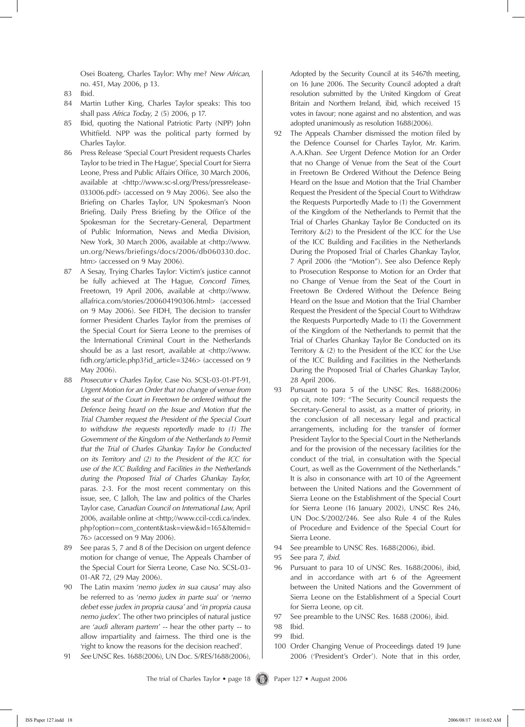Osei Boateng, Charles Taylor: Why me? *New African,*  no. 451, May 2006, p 13.

- 83 Ibid.
- 84 Martin Luther King, Charles Taylor speaks: This too shall pass *Africa Today*, 2 (5) 2006, p 17.
- 85 Ibid, quoting the National Patriotic Party (NPP) John Whitfield. NPP was the political party formed by Charles Taylor.
- 86 Press Release 'Special Court President requests Charles Taylor to be tried in The Hague', Special Court for Sierra Leone, Press and Public Affairs Office, 30 March 2006, available at <http://www.sc-sl.org/Press/pressrelease-033006.pdf> (accessed on 9 May 2006). See also the Briefing on Charles Taylor, UN Spokesman's Noon Briefing. Daily Press Briefing by the Office of the Spokesman for the Secretary-General, Department of Public Information, News and Media Division, New York, 30 March 2006, available at <http://www. un.org/News/briefings/docs/2006/db060330.doc. htm> (accessed on 9 May 2006).
- 87 A Sesay, Trying Charles Taylor: Victim's justice cannot be fully achieved at The Hague, *Concord Times,* Freetown, 19 April 2006, available at <http://www. allafrica.com/stories/200604190306.html> (accessed on 9 May 2006). See FIDH, The decision to transfer former President Charles Taylor from the premises of the Special Court for Sierra Leone to the premises of the International Criminal Court in the Netherlands should be as a last resort, available at <http://www. fidh.org/article.php3?id\_article=3246> (accessed on 9 May 2006).
- 88 *Prosecutor v Charles Taylor*, Case No. SCSL-03-01-PT-91, *Urgent Motion for an Order that no change of venue from the seat of the Court in Freetown be ordered without the Defence being heard on the Issue and Motion that the Trial Chamber request the President of the Special Court to withdraw the requests reportedly made to (1) The Government of the Kingdom of the Netherlands to Permit that the Trial of Charles Ghankay Taylor be Conducted on its Territory and (2) to the President of the ICC for use of the ICC Building and Facilities in the Netherlands during the Proposed Trial of Charles Ghankay Taylor*, paras. 2-3. For the most recent commentary on this issue, see, C Jalloh, The law and politics of the Charles Taylor case, *Canadian Council on International Law*, April 2006, available online at <http;//www.ccil-ccdi.ca/index. php?option=com\_content&task=view&id=165&Itemid= 76> (accessed on 9 May 2006).
- 89 See paras 5, 7 and 8 of the Decision on urgent defence motion for change of venue, The Appeals Chamber of the Special Court for Sierra Leone, Case No. SCSL-03- 01-AR 72, (29 May 2006).
- 90 The Latin maxim '*nemo judex in sua causa'* may also be referred to as '*nemo judex in parte sua*' or '*nemo debet esse judex in propria causa'* and '*in propria causa nemo judex'*. The other two principles of natural justice are '*audi alteram partem' --* hear the other party -- to allow impartiality and fairness*.* The third one is the 'right to know the reasons for the decision reached'.
- 91 *See* UNSC Res. 1688(2006), UN Doc. S/RES/1688(2006),

Adopted by the Security Council at its 5467th meeting, on 16 June 2006. The Security Council adopted a draft resolution submitted by the United Kingdom of Great Britain and Northern Ireland, ibid, which received 15 votes in favour; none against and no abstention, and was adopted unanimously as resolution 1688(2006).

- 92 The Appeals Chamber dismissed the motion filed by the Defence Counsel for Charles Taylor, Mr. Karim. A.A.Khan. *See* Urgent Defence Motion for an Order that no Change of Venue from the Seat of the Court in Freetown Be Ordered Without the Defence Being Heard on the Issue and Motion that the Trial Chamber Request the President of the Special Court to Withdraw the Requests Purportedly Made to (1) the Government of the Kingdom of the Netherlands to Permit that the Trial of Charles Ghankay Taylor Be Conducted on its Territory &(2) to the President of the ICC for the Use of the ICC Building and Facilities in the Netherlands During the Proposed Trial of Charles Ghankay Taylor, 7 April 2006 (the "Motion"). See also Defence Reply to Prosecution Response to Motion for an Order that no Change of Venue from the Seat of the Court in Freetown Be Ordered Without the Defence Being Heard on the Issue and Motion that the Trial Chamber Request the President of the Special Court to Withdraw the Requests Purportedly Made to (1) the Government of the Kingdom of the Netherlands to permit that the Trial of Charles Ghankay Taylor Be Conducted on its Territory & (2) to the President of the ICC for the Use of the ICC Building and Facilities in the Netherlands During the Proposed Trial of Charles Ghankay Taylor, 28 April 2006.
- 93 Pursuant to para 5 of the UNSC Res. 1688(2006) op cit, note 109: "The Security Council requests the Secretary-General to assist, as a matter of priority, in the conclusion of all necessary legal and practical arrangements, including for the transfer of former President Taylor to the Special Court in the Netherlands and for the provision of the necessary facilities for the conduct of the trial, in consultation with the Special Court, as well as the Government of the Netherlands." It is also in consonance with art 10 of the Agreement between the United Nations and the Government of Sierra Leone on the Establishment of the Special Court for Sierra Leone (16 January 2002), UNSC Res 246, UN Doc.S/2002/246. See also Rule 4 of the Rules of Procedure and Evidence of the Special Court for Sierra Leone.
- 94 See preamble to UNSC Res. 1688(2006), ibid*.*
- 95 See para 7, *ibid.*
- 96 Pursuant to para 10 of UNSC Res. 1688(2006), ibid, and in accordance with art 6 of the Agreement between the United Nations and the Government of Sierra Leone on the Establishment of a Special Court for Sierra Leone, op cit.
- 97 See preamble to the UNSC Res. 1688 (2006), ibid*.*

- 99 Ibid.
- 100 Order Changing Venue of Proceedings dated 19 June 2006 ('President's Order'). Note that in this order,

<sup>98</sup> Ibid.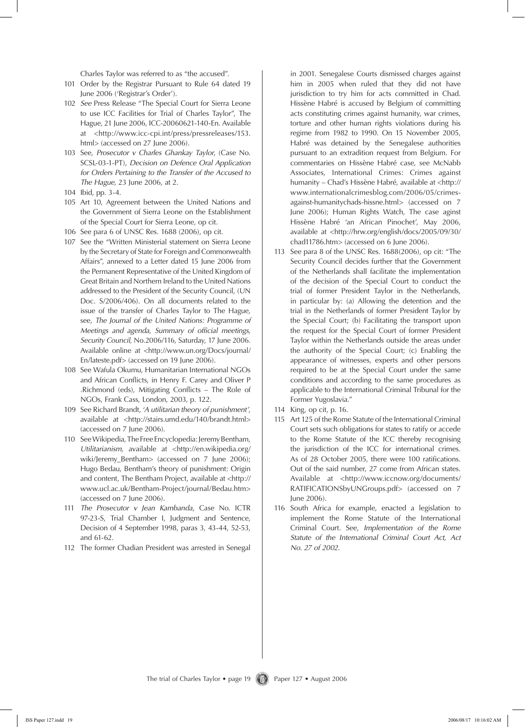Charles Taylor was referred to as "the accused".

- 101 Order by the Registrar Pursuant to Rule 64 dated 19 June 2006 ('Registrar's Order').
- 102 *See* Press Release "The Special Court for Sierra Leone to use ICC Facilities for Trial of Charles Taylor", The Hague, 21 June 2006, ICC-20060621-140-En. Available at <http://www.icc-cpi.int/press/pressreleases/153. html> (accessed on 27 June 2006).
- 103 See, *Prosecutor v Charles Ghankay Taylor*, (Case No. SCSL-03-1-PT), *Decision on Defence Oral Application for Orders Pertaining to the Transfer of the Accused to The Hague,* 23 June 2006, at 2.
- 104 Ibid, pp. 3-4.
- 105 Art 10, Agreement between the United Nations and the Government of Sierra Leone on the Establishment of the Special Court for Sierra Leone, op cit*.*
- 106 See para 6 of UNSC Res. 1688 (2006), op cit.
- 107 See the "Written Ministerial statement on Sierra Leone by the Secretary of State for Foreign and Commonwealth Affairs", annexed to a Letter dated 15 June 2006 from the Permanent Representative of the United Kingdom of Great Britain and Northern Ireland to the United Nations addressed to the President of the Security Council, (UN Doc. S/2006/406). On all documents related to the issue of the transfer of Charles Taylor to The Hague, see*, The Journal of the United Nations: Programme of Meetings and agenda, Summary of official meetings, Security Council,* No.2006/116, Saturday, 17 June 2006. Available online at <http://www.un.org/Docs/journal/ En/lateste.pdf> (accessed on 19 June 2006).
- 108 See Wafula Okumu, Humanitarian International NGOs and African Conflicts, in Henry F. Carey and Oliver P .Richmond (eds), Mitigating Conflicts – The Role of NGOs, Frank Cass, London, 2003, p. 122.
- 109 See Richard Brandt, '*A utilitarian theory of punishment'*, available at <http://stairs.umd.edu/140/brandt.html> (accessed on 7 June 2006).
- 110 See Wikipedia, The Free Encyclopedia: Jeremy Bentham, *Utilitarianism,* available at <http://en.wikipedia.org/ wiki/Jeremy Bentham> (accessed on 7 June 2006); Hugo Bedau, Bentham's theory of punishment: Origin and content, The Bentham Project, available at <http:// www.ucl.ac.uk/Bentham-Project/journal/Bedau.htm> (accessed on 7 June 2006).
- 111 *The Prosecutor v Jean Kambanda*, Case No. ICTR 97-23-S, Trial Chamber I, Judgment and Sentence, Decision of 4 September 1998, paras 3, 43-44, 52-53, and 61-62.
- 112 The former Chadian President was arrested in Senegal

in 2001. Senegalese Courts dismissed charges against him in 2005 when ruled that they did not have jurisdiction to try him for acts committed in Chad. Hissène Habré is accused by Belgium of committing acts constituting crimes against humanity, war crimes, torture and other human rights violations during his regime from 1982 to 1990. On 15 November 2005, Habré was detained by the Senegalese authorities pursuant to an extradition request from Belgium. For commentaries on Hissène Habré case, see McNabb Associates, International Crimes: Crimes against humanity – Chad's Hissène Habré, available at <http:// www.internationalcrimesblog.com/2006/05/crimesagainst-humanitychads-hissne.html> (accessed on 7 June 2006); Human Rights Watch, The case aginst Hissène Habré 'an African Pinochet', May 2006, available at <http://hrw.org/english/docs/2005/09/30/ chad11786.htm> (accessed on 6 June 2006).

- 113 See para 8 of the UNSC Res. 1688(2006), op cit: "The Security Council decides further that the Government of the Netherlands shall facilitate the implementation of the decision of the Special Court to conduct the trial of former President Taylor in the Netherlands, in particular by: (a) Allowing the detention and the trial in the Netherlands of former President Taylor by the Special Court; (b) Facilitating the transport upon the request for the Special Court of former President Taylor within the Netherlands outside the areas under the authority of the Special Court; (c) Enabling the appearance of witnesses, experts and other persons required to be at the Special Court under the same conditions and according to the same procedures as applicable to the International Criminal Tribunal for the Former Yugoslavia."
- 114 King, op cit, p. 16.
- 115 Art 125 of the Rome Statute of the International Criminal Court sets such obligations for states to ratify or accede to the Rome Statute of the ICC thereby recognising the jurisdiction of the ICC for international crimes. As of 28 October 2005, there were 100 ratifications. Out of the said number, 27 come from African states. Available at <http://www.iccnow.org/documents/ RATIFICATIONSbyUNGroups.pdf> (accessed on 7 June 2006).
- 116 South Africa for example, enacted a legislation to implement the Rome Statute of the International Criminal Court. See, *Implementation of the Rome Statute of the International Criminal Court Act, Act No. 27 of 2002*.